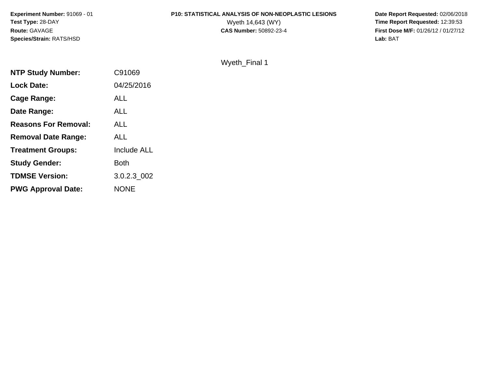**Experiment Number:** 91069 - 01**Test Type:** 28-DAY**Route:** GAVAGE**Species/Strain:** RATS/HSD

# **P10: STATISTICAL ANALYSIS OF NON-NEOPLASTIC LESIONS**

 **Date Report Requested:** 02/06/2018 Wyeth 14,643 (WY) **Time Report Requested:** 12:39:53<br>**CAS Number:** 50892-23-4 **Time Report Requested:** 12:39:53 **First Dose M/F:** 01/26/12 / 01/27/12<br>Lab: BAT **Lab:** BAT

#### Wyeth\_Final 1

| C91069             |
|--------------------|
| 04/25/2016         |
| ALL                |
| ALL                |
| ALL                |
| <b>ALL</b>         |
| <b>Include ALL</b> |
| <b>Both</b>        |
| 3.0.2.3 002        |
| <b>NONE</b>        |
|                    |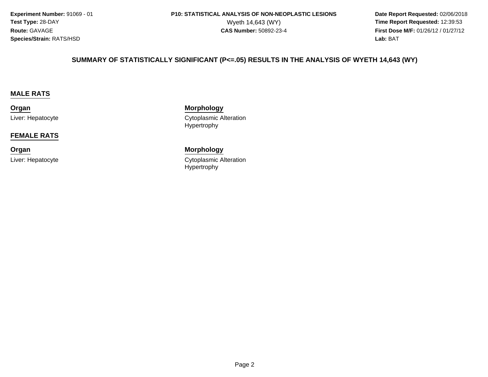**Experiment Number:** 91069 - 01**Test Type:** 28-DAY**Route:** GAVAGE**Species/Strain:** RATS/HSD

 **Date Report Requested:** 02/06/2018 Wyeth 14,643 (WY) **Time Report Requested:** 12:39:53<br>**CAS Number:** 50892-23-4 **Time Report Requested:** 12:39:53 **First Dose M/F:** 01/26/12 / 01/27/12<br>**Lab:** BAT **Lab:** BAT

#### **SUMMARY OF STATISTICALLY SIGNIFICANT (P<=.05) RESULTS IN THE ANALYSIS OF WYETH 14,643 (WY)**

#### **MALE RATS**

#### **Organ**Liver: Hepatocyte

#### **FEMALE RATS**

**Organ**

Liver: Hepatocyte

#### **Morphology** Cytoplasmic Alteration Hypertrophy

 **Morphology** Cytoplasmic Alteration Hypertrophy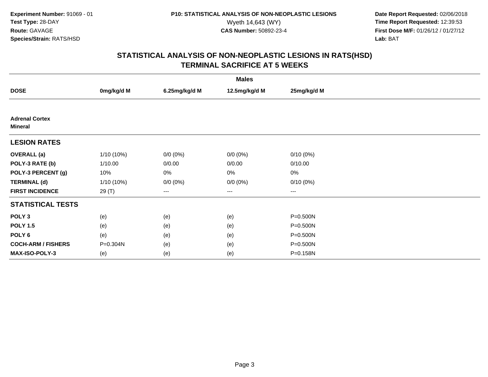**Date Report Requested:** 02/06/2018 Wyeth 14,643 (WY) **Time Report Requested:** 12:39:53<br>**CAS Number:** 50892-23-4 **Time Report Requested:** 12:39:53 **First Dose M/F:** 01/26/12 / 01/27/12<br>**Lab:** BAT **Lab:** BAT

| <b>Males</b>                            |              |               |               |                        |  |  |
|-----------------------------------------|--------------|---------------|---------------|------------------------|--|--|
| <b>DOSE</b>                             | 0mg/kg/d M   | 6.25mg/kg/d M | 12.5mg/kg/d M | 25mg/kg/d M            |  |  |
|                                         |              |               |               |                        |  |  |
| <b>Adrenal Cortex</b><br><b>Mineral</b> |              |               |               |                        |  |  |
| <b>LESION RATES</b>                     |              |               |               |                        |  |  |
| <b>OVERALL</b> (a)                      | $1/10(10\%)$ | $0/0 (0\%)$   | $0/0 (0\%)$   | $0/10(0\%)$            |  |  |
| POLY-3 RATE (b)                         | 1/10.00      | 0/0.00        | 0/0.00        | 0/10.00                |  |  |
| POLY-3 PERCENT (g)                      | 10%          | 0%            | 0%            | 0%                     |  |  |
| <b>TERMINAL (d)</b>                     | $1/10(10\%)$ | $0/0 (0\%)$   | $0/0 (0\%)$   | $0/10(0\%)$            |  |  |
| <b>FIRST INCIDENCE</b>                  | 29 (T)       | ---           | $---$         | $\qquad \qquad \cdots$ |  |  |
| <b>STATISTICAL TESTS</b>                |              |               |               |                        |  |  |
| POLY <sub>3</sub>                       | (e)          | (e)           | (e)           | P=0.500N               |  |  |
| <b>POLY 1.5</b>                         | (e)          | (e)           | (e)           | P=0.500N               |  |  |
| POLY <sub>6</sub>                       | (e)          | (e)           | (e)           | P=0.500N               |  |  |
| <b>COCH-ARM / FISHERS</b>               | P=0.304N     | (e)           | (e)           | P=0.500N               |  |  |
| <b>MAX-ISO-POLY-3</b>                   | (e)          | (e)           | (e)           | P=0.158N               |  |  |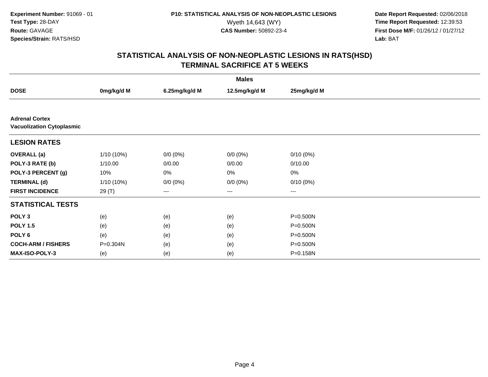**Date Report Requested:** 02/06/2018 Wyeth 14,643 (WY) **Time Report Requested:** 12:39:53<br>**CAS Number:** 50892-23-4 **Time Report Requested:** 12:39:53 **First Dose M/F:** 01/26/12 / 01/27/12<br>**Lab:** BAT **Lab:** BAT

| <b>Males</b>                                              |            |               |               |             |  |  |
|-----------------------------------------------------------|------------|---------------|---------------|-------------|--|--|
| <b>DOSE</b>                                               | 0mg/kg/d M | 6.25mg/kg/d M | 12.5mg/kg/d M | 25mg/kg/d M |  |  |
|                                                           |            |               |               |             |  |  |
| <b>Adrenal Cortex</b><br><b>Vacuolization Cytoplasmic</b> |            |               |               |             |  |  |
| <b>LESION RATES</b>                                       |            |               |               |             |  |  |
| <b>OVERALL (a)</b>                                        | 1/10 (10%) | $0/0 (0\%)$   | $0/0 (0\%)$   | $0/10(0\%)$ |  |  |
| POLY-3 RATE (b)                                           | 1/10.00    | 0/0.00        | 0/0.00        | 0/10.00     |  |  |
| POLY-3 PERCENT (g)                                        | 10%        | 0%            | 0%            | $0\%$       |  |  |
| <b>TERMINAL (d)</b>                                       | 1/10 (10%) | $0/0 (0\%)$   | $0/0 (0\%)$   | 0/10(0%)    |  |  |
| <b>FIRST INCIDENCE</b>                                    | 29 (T)     | $---$         | $---$         | $---$       |  |  |
| <b>STATISTICAL TESTS</b>                                  |            |               |               |             |  |  |
| POLY <sub>3</sub>                                         | (e)        | (e)           | (e)           | P=0.500N    |  |  |
| <b>POLY 1.5</b>                                           | (e)        | (e)           | (e)           | P=0.500N    |  |  |
| POLY 6                                                    | (e)        | (e)           | (e)           | P=0.500N    |  |  |
| <b>COCH-ARM / FISHERS</b>                                 | P=0.304N   | (e)           | (e)           | P=0.500N    |  |  |
| <b>MAX-ISO-POLY-3</b>                                     | (e)        | (e)           | (e)           | P=0.158N    |  |  |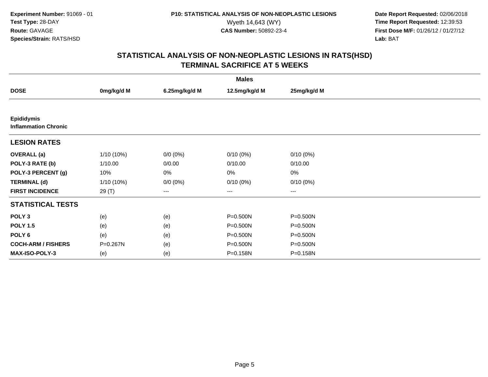**Date Report Requested:** 02/06/2018 Wyeth 14,643 (WY) **Time Report Requested:** 12:39:53<br>**CAS Number:** 50892-23-4 **Time Report Requested:** 12:39:53 **First Dose M/F:** 01/26/12 / 01/27/12<br>**Lab:** BAT **Lab:** BAT

| <b>Males</b>                                     |              |               |                   |              |  |  |
|--------------------------------------------------|--------------|---------------|-------------------|--------------|--|--|
| <b>DOSE</b>                                      | 0mg/kg/d M   | 6.25mg/kg/d M | 12.5mg/kg/d M     | 25mg/kg/d M  |  |  |
|                                                  |              |               |                   |              |  |  |
| <b>Epididymis</b><br><b>Inflammation Chronic</b> |              |               |                   |              |  |  |
| <b>LESION RATES</b>                              |              |               |                   |              |  |  |
| <b>OVERALL</b> (a)                               | 1/10 (10%)   | $0/0 (0\%)$   | $0/10(0\%)$       | $0/10(0\%)$  |  |  |
| POLY-3 RATE (b)                                  | 1/10.00      | 0/0.00        | 0/10.00           | 0/10.00      |  |  |
| POLY-3 PERCENT (g)                               | 10%          | 0%            | 0%                | $0\%$        |  |  |
| <b>TERMINAL (d)</b>                              | $1/10(10\%)$ | $0/0 (0\%)$   | $0/10(0\%)$       | 0/10(0%)     |  |  |
| <b>FIRST INCIDENCE</b>                           | 29 (T)       | $---$         | $\qquad \qquad -$ | $---$        |  |  |
| <b>STATISTICAL TESTS</b>                         |              |               |                   |              |  |  |
| POLY <sub>3</sub>                                | (e)          | (e)           | P=0.500N          | P=0.500N     |  |  |
| <b>POLY 1.5</b>                                  | (e)          | (e)           | P=0.500N          | $P = 0.500N$ |  |  |
| POLY <sub>6</sub>                                | (e)          | (e)           | P=0.500N          | P=0.500N     |  |  |
| <b>COCH-ARM / FISHERS</b>                        | P=0.267N     | (e)           | P=0.500N          | P=0.500N     |  |  |
| <b>MAX-ISO-POLY-3</b>                            | (e)          | (e)           | P=0.158N          | P=0.158N     |  |  |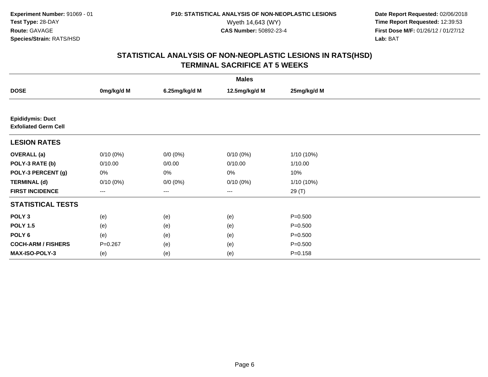**Date Report Requested:** 02/06/2018 Wyeth 14,643 (WY) **Time Report Requested:** 12:39:53<br>**CAS Number:** 50892-23-4 **Time Report Requested:** 12:39:53 **First Dose M/F:** 01/26/12 / 01/27/12<br>**Lab:** BAT **Lab:** BAT

| <b>Males</b>                                           |             |               |                   |              |  |  |
|--------------------------------------------------------|-------------|---------------|-------------------|--------------|--|--|
| <b>DOSE</b>                                            | 0mg/kg/d M  | 6.25mg/kg/d M | 12.5mg/kg/d M     | 25mg/kg/d M  |  |  |
|                                                        |             |               |                   |              |  |  |
| <b>Epididymis: Duct</b><br><b>Exfoliated Germ Cell</b> |             |               |                   |              |  |  |
| <b>LESION RATES</b>                                    |             |               |                   |              |  |  |
| <b>OVERALL</b> (a)                                     | $0/10(0\%)$ | $0/0 (0\%)$   | $0/10(0\%)$       | $1/10(10\%)$ |  |  |
| POLY-3 RATE (b)                                        | 0/10.00     | 0/0.00        | 0/10.00           | 1/10.00      |  |  |
| POLY-3 PERCENT (g)                                     | 0%          | 0%            | 0%                | 10%          |  |  |
| <b>TERMINAL (d)</b>                                    | $0/10(0\%)$ | $0/0 (0\%)$   | $0/10(0\%)$       | 1/10 (10%)   |  |  |
| <b>FIRST INCIDENCE</b>                                 | ---         | ---           | $\qquad \qquad -$ | 29 (T)       |  |  |
| <b>STATISTICAL TESTS</b>                               |             |               |                   |              |  |  |
| POLY <sub>3</sub>                                      | (e)         | (e)           | (e)               | $P = 0.500$  |  |  |
| <b>POLY 1.5</b>                                        | (e)         | (e)           | (e)               | $P = 0.500$  |  |  |
| POLY 6                                                 | (e)         | (e)           | (e)               | $P = 0.500$  |  |  |
| <b>COCH-ARM / FISHERS</b>                              | $P = 0.267$ | (e)           | (e)               | $P = 0.500$  |  |  |
| MAX-ISO-POLY-3                                         | (e)         | (e)           | (e)               | $P = 0.158$  |  |  |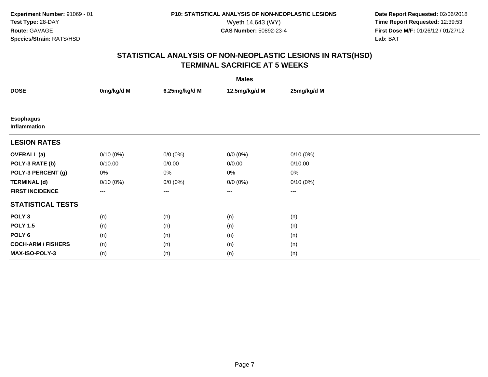**Date Report Requested:** 02/06/2018 Wyeth 14,643 (WY) **Time Report Requested:** 12:39:53<br>**CAS Number:** 50892-23-4 **Time Report Requested:** 12:39:53 **First Dose M/F:** 01/26/12 / 01/27/12<br>**Lab:** BAT **Lab:** BAT

| <b>Males</b>                     |             |                   |               |             |  |  |
|----------------------------------|-------------|-------------------|---------------|-------------|--|--|
| <b>DOSE</b>                      | 0mg/kg/d M  | 6.25mg/kg/d M     | 12.5mg/kg/d M | 25mg/kg/d M |  |  |
|                                  |             |                   |               |             |  |  |
| <b>Esophagus</b><br>Inflammation |             |                   |               |             |  |  |
| <b>LESION RATES</b>              |             |                   |               |             |  |  |
| <b>OVERALL</b> (a)               | $0/10(0\%)$ | $0/0 (0\%)$       | $0/0 (0\%)$   | 0/10(0%)    |  |  |
| POLY-3 RATE (b)                  | 0/10.00     | 0/0.00            | 0/0.00        | 0/10.00     |  |  |
| POLY-3 PERCENT (g)               | 0%          | 0%                | 0%            | 0%          |  |  |
| <b>TERMINAL (d)</b>              | $0/10(0\%)$ | $0/0 (0\%)$       | $0/0 (0\%)$   | 0/10(0%)    |  |  |
| <b>FIRST INCIDENCE</b>           | $\cdots$    | $\qquad \qquad -$ | $\cdots$      | $\cdots$    |  |  |
| <b>STATISTICAL TESTS</b>         |             |                   |               |             |  |  |
| POLY <sub>3</sub>                | (n)         | (n)               | (n)           | (n)         |  |  |
| <b>POLY 1.5</b>                  | (n)         | (n)               | (n)           | (n)         |  |  |
| POLY <sub>6</sub>                | (n)         | (n)               | (n)           | (n)         |  |  |
| <b>COCH-ARM / FISHERS</b>        | (n)         | (n)               | (n)           | (n)         |  |  |
| MAX-ISO-POLY-3                   | (n)         | (n)               | (n)           | (n)         |  |  |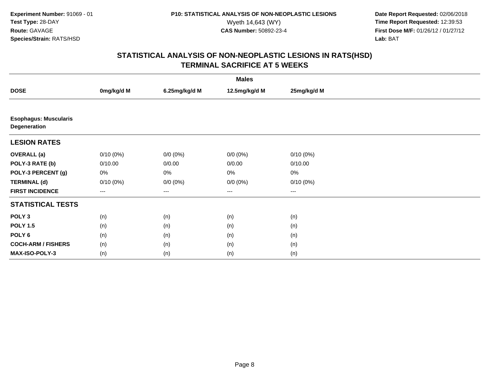**Date Report Requested:** 02/06/2018 Wyeth 14,643 (WY) **Time Report Requested:** 12:39:53<br>**CAS Number:** 50892-23-4 **Time Report Requested:** 12:39:53 **First Dose M/F:** 01/26/12 / 01/27/12<br>**Lab:** BAT **Lab:** BAT

| <b>Males</b>                                 |             |               |                   |                   |  |  |
|----------------------------------------------|-------------|---------------|-------------------|-------------------|--|--|
| <b>DOSE</b>                                  | 0mg/kg/d M  | 6.25mg/kg/d M | 12.5mg/kg/d M     | 25mg/kg/d M       |  |  |
|                                              |             |               |                   |                   |  |  |
| <b>Esophagus: Muscularis</b><br>Degeneration |             |               |                   |                   |  |  |
| <b>LESION RATES</b>                          |             |               |                   |                   |  |  |
| <b>OVERALL</b> (a)                           | $0/10(0\%)$ | $0/0 (0\%)$   | $0/0 (0\%)$       | $0/10(0\%)$       |  |  |
| POLY-3 RATE (b)                              | 0/10.00     | 0/0.00        | 0/0.00            | 0/10.00           |  |  |
| POLY-3 PERCENT (g)                           | 0%          | 0%            | $0\%$             | $0\%$             |  |  |
| <b>TERMINAL (d)</b>                          | $0/10(0\%)$ | $0/0 (0\%)$   | $0/0 (0\%)$       | 0/10(0%)          |  |  |
| <b>FIRST INCIDENCE</b>                       | $--$        | $---$         | $\qquad \qquad -$ | $\qquad \qquad -$ |  |  |
| <b>STATISTICAL TESTS</b>                     |             |               |                   |                   |  |  |
| POLY <sub>3</sub>                            | (n)         | (n)           | (n)               | (n)               |  |  |
| <b>POLY 1.5</b>                              | (n)         | (n)           | (n)               | (n)               |  |  |
| POLY 6                                       | (n)         | (n)           | (n)               | (n)               |  |  |
| <b>COCH-ARM / FISHERS</b>                    | (n)         | (n)           | (n)               | (n)               |  |  |
| MAX-ISO-POLY-3                               | (n)         | (n)           | (n)               | (n)               |  |  |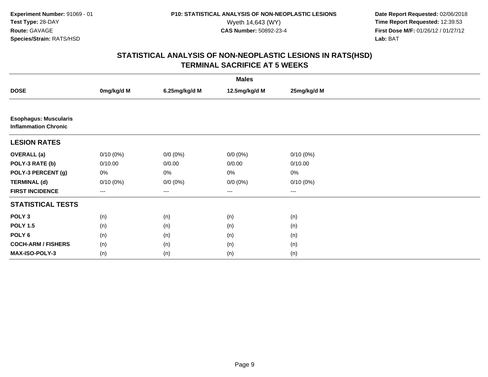**Date Report Requested:** 02/06/2018 Wyeth 14,643 (WY) **Time Report Requested:** 12:39:53<br>**CAS Number:** 50892-23-4 **Time Report Requested:** 12:39:53 **First Dose M/F:** 01/26/12 / 01/27/12<br>**Lab:** BAT **Lab:** BAT

| <b>Males</b>                                                |             |                   |                   |                   |  |  |
|-------------------------------------------------------------|-------------|-------------------|-------------------|-------------------|--|--|
| <b>DOSE</b>                                                 | 0mg/kg/d M  | 6.25mg/kg/d M     | 12.5mg/kg/d M     | 25mg/kg/d M       |  |  |
|                                                             |             |                   |                   |                   |  |  |
| <b>Esophagus: Muscularis</b><br><b>Inflammation Chronic</b> |             |                   |                   |                   |  |  |
| <b>LESION RATES</b>                                         |             |                   |                   |                   |  |  |
| <b>OVERALL (a)</b>                                          | $0/10(0\%)$ | $0/0 (0\%)$       | $0/0 (0\%)$       | $0/10(0\%)$       |  |  |
| POLY-3 RATE (b)                                             | 0/10.00     | 0/0.00            | 0/0.00            | 0/10.00           |  |  |
| POLY-3 PERCENT (g)                                          | 0%          | 0%                | $0\%$             | $0\%$             |  |  |
| <b>TERMINAL (d)</b>                                         | $0/10(0\%)$ | $0/0 (0\%)$       | $0/0 (0\%)$       | $0/10(0\%)$       |  |  |
| <b>FIRST INCIDENCE</b>                                      | ---         | $\qquad \qquad -$ | $\qquad \qquad -$ | $\qquad \qquad -$ |  |  |
| <b>STATISTICAL TESTS</b>                                    |             |                   |                   |                   |  |  |
| POLY <sub>3</sub>                                           | (n)         | (n)               | (n)               | (n)               |  |  |
| <b>POLY 1.5</b>                                             | (n)         | (n)               | (n)               | (n)               |  |  |
| POLY 6                                                      | (n)         | (n)               | (n)               | (n)               |  |  |
| <b>COCH-ARM / FISHERS</b>                                   | (n)         | (n)               | (n)               | (n)               |  |  |
| <b>MAX-ISO-POLY-3</b>                                       | (n)         | (n)               | (n)               | (n)               |  |  |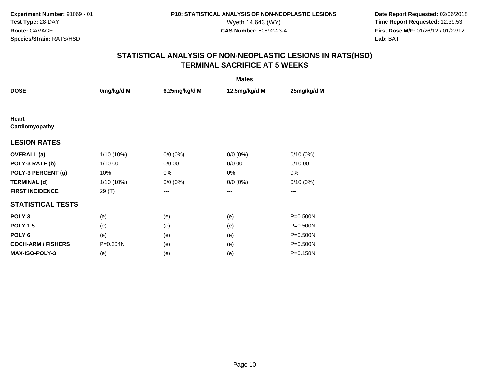**Date Report Requested:** 02/06/2018 Wyeth 14,643 (WY) **Time Report Requested:** 12:39:53<br>**CAS Number:** 50892-23-4 **Time Report Requested:** 12:39:53 **First Dose M/F:** 01/26/12 / 01/27/12<br>**Lab:** BAT **Lab:** BAT

| <b>Males</b>              |              |               |               |                        |  |  |
|---------------------------|--------------|---------------|---------------|------------------------|--|--|
| <b>DOSE</b>               | 0mg/kg/d M   | 6.25mg/kg/d M | 12.5mg/kg/d M | 25mg/kg/d M            |  |  |
|                           |              |               |               |                        |  |  |
| Heart<br>Cardiomyopathy   |              |               |               |                        |  |  |
| <b>LESION RATES</b>       |              |               |               |                        |  |  |
| <b>OVERALL</b> (a)        | $1/10(10\%)$ | $0/0 (0\%)$   | $0/0 (0\%)$   | $0/10(0\%)$            |  |  |
| POLY-3 RATE (b)           | 1/10.00      | 0/0.00        | 0/0.00        | 0/10.00                |  |  |
| POLY-3 PERCENT (g)        | 10%          | 0%            | 0%            | 0%                     |  |  |
| <b>TERMINAL (d)</b>       | $1/10(10\%)$ | $0/0 (0\%)$   | $0/0 (0\%)$   | $0/10(0\%)$            |  |  |
| <b>FIRST INCIDENCE</b>    | 29(T)        | ---           | $---$         | $\qquad \qquad \cdots$ |  |  |
| <b>STATISTICAL TESTS</b>  |              |               |               |                        |  |  |
| POLY <sub>3</sub>         | (e)          | (e)           | (e)           | P=0.500N               |  |  |
| <b>POLY 1.5</b>           | (e)          | (e)           | (e)           | P=0.500N               |  |  |
| POLY <sub>6</sub>         | (e)          | (e)           | (e)           | P=0.500N               |  |  |
| <b>COCH-ARM / FISHERS</b> | P=0.304N     | (e)           | (e)           | P=0.500N               |  |  |
| <b>MAX-ISO-POLY-3</b>     | (e)          | (e)           | (e)           | P=0.158N               |  |  |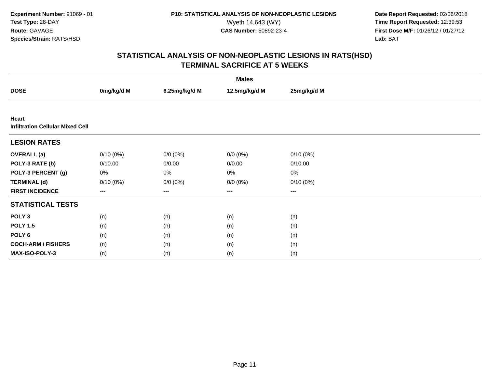**Date Report Requested:** 02/06/2018 Wyeth 14,643 (WY) **Time Report Requested:** 12:39:53<br>**CAS Number:** 50892-23-4 **Time Report Requested:** 12:39:53 **First Dose M/F:** 01/26/12 / 01/27/12<br>**Lab:** BAT **Lab:** BAT

| <b>Males</b>                                     |             |               |                   |             |  |
|--------------------------------------------------|-------------|---------------|-------------------|-------------|--|
| <b>DOSE</b>                                      | 0mg/kg/d M  | 6.25mg/kg/d M | 12.5mg/kg/d M     | 25mg/kg/d M |  |
|                                                  |             |               |                   |             |  |
| Heart<br><b>Infiltration Cellular Mixed Cell</b> |             |               |                   |             |  |
| <b>LESION RATES</b>                              |             |               |                   |             |  |
| <b>OVERALL</b> (a)                               | $0/10(0\%)$ | $0/0 (0\%)$   | $0/0 (0\%)$       | $0/10(0\%)$ |  |
| POLY-3 RATE (b)                                  | 0/10.00     | 0/0.00        | 0/0.00            | 0/10.00     |  |
| POLY-3 PERCENT (g)                               | 0%          | 0%            | $0\%$             | $0\%$       |  |
| <b>TERMINAL (d)</b>                              | $0/10(0\%)$ | $0/0 (0\%)$   | $0/0 (0\%)$       | 0/10(0%)    |  |
| <b>FIRST INCIDENCE</b>                           | $---$       | $---$         | $\qquad \qquad -$ | $---$       |  |
| <b>STATISTICAL TESTS</b>                         |             |               |                   |             |  |
| POLY <sub>3</sub>                                | (n)         | (n)           | (n)               | (n)         |  |
| <b>POLY 1.5</b>                                  | (n)         | (n)           | (n)               | (n)         |  |
| POLY 6                                           | (n)         | (n)           | (n)               | (n)         |  |
| <b>COCH-ARM / FISHERS</b>                        | (n)         | (n)           | (n)               | (n)         |  |
| MAX-ISO-POLY-3                                   | (n)         | (n)           | (n)               | (n)         |  |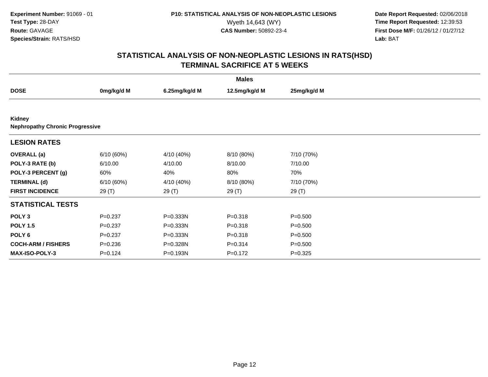**Date Report Requested:** 02/06/2018 Wyeth 14,643 (WY) **Time Report Requested:** 12:39:53<br>**CAS Number:** 50892-23-4 **Time Report Requested:** 12:39:53 **First Dose M/F:** 01/26/12 / 01/27/12<br>**Lab:** BAT **Lab:** BAT

| <b>Males</b>                                     |             |               |               |             |  |  |
|--------------------------------------------------|-------------|---------------|---------------|-------------|--|--|
| <b>DOSE</b>                                      | 0mg/kg/d M  | 6.25mg/kg/d M | 12.5mg/kg/d M | 25mg/kg/d M |  |  |
|                                                  |             |               |               |             |  |  |
| Kidney<br><b>Nephropathy Chronic Progressive</b> |             |               |               |             |  |  |
| <b>LESION RATES</b>                              |             |               |               |             |  |  |
| <b>OVERALL</b> (a)                               | 6/10(60%)   | 4/10 (40%)    | 8/10 (80%)    | 7/10 (70%)  |  |  |
| POLY-3 RATE (b)                                  | 6/10.00     | 4/10.00       | 8/10.00       | 7/10.00     |  |  |
| POLY-3 PERCENT (g)                               | 60%         | 40%           | 80%           | 70%         |  |  |
| <b>TERMINAL (d)</b>                              | 6/10(60%)   | 4/10 (40%)    | 8/10 (80%)    | 7/10 (70%)  |  |  |
| <b>FIRST INCIDENCE</b>                           | 29 (T)      | 29 (T)        | 29 (T)        | 29 (T)      |  |  |
| <b>STATISTICAL TESTS</b>                         |             |               |               |             |  |  |
| POLY <sub>3</sub>                                | $P = 0.237$ | P=0.333N      | $P = 0.318$   | $P = 0.500$ |  |  |
| <b>POLY 1.5</b>                                  | $P = 0.237$ | P=0.333N      | $P = 0.318$   | $P = 0.500$ |  |  |
| POLY 6                                           | $P = 0.237$ | P=0.333N      | $P = 0.318$   | $P = 0.500$ |  |  |
| <b>COCH-ARM / FISHERS</b>                        | $P = 0.236$ | P=0.328N      | $P = 0.314$   | $P = 0.500$ |  |  |
| <b>MAX-ISO-POLY-3</b>                            | $P = 0.124$ | P=0.193N      | $P = 0.172$   | $P = 0.325$ |  |  |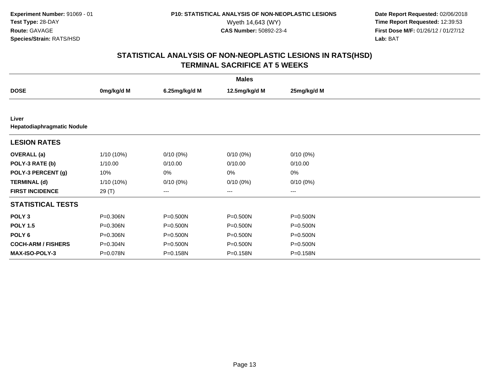**Date Report Requested:** 02/06/2018 Wyeth 14,643 (WY) **Time Report Requested:** 12:39:53<br>**CAS Number:** 50892-23-4 **Time Report Requested:** 12:39:53 **First Dose M/F:** 01/26/12 / 01/27/12<br>**Lab:** BAT **Lab:** BAT

| <b>Males</b>                               |              |               |               |             |  |  |
|--------------------------------------------|--------------|---------------|---------------|-------------|--|--|
| <b>DOSE</b>                                | 0mg/kg/d M   | 6.25mg/kg/d M | 12.5mg/kg/d M | 25mg/kg/d M |  |  |
|                                            |              |               |               |             |  |  |
| Liver<br><b>Hepatodiaphragmatic Nodule</b> |              |               |               |             |  |  |
| <b>LESION RATES</b>                        |              |               |               |             |  |  |
| <b>OVERALL</b> (a)                         | $1/10(10\%)$ | $0/10(0\%)$   | $0/10(0\%)$   | $0/10(0\%)$ |  |  |
| POLY-3 RATE (b)                            | 1/10.00      | 0/10.00       | 0/10.00       | 0/10.00     |  |  |
| POLY-3 PERCENT (g)                         | 10%          | 0%            | 0%            | 0%          |  |  |
| <b>TERMINAL (d)</b>                        | $1/10(10\%)$ | $0/10(0\%)$   | $0/10(0\%)$   | $0/10(0\%)$ |  |  |
| <b>FIRST INCIDENCE</b>                     | 29 (T)       | $---$         | ---           | $---$       |  |  |
| <b>STATISTICAL TESTS</b>                   |              |               |               |             |  |  |
| POLY <sub>3</sub>                          | P=0.306N     | P=0.500N      | P=0.500N      | P=0.500N    |  |  |
| <b>POLY 1.5</b>                            | P=0.306N     | $P = 0.500N$  | P=0.500N      | P=0.500N    |  |  |
| POLY <sub>6</sub>                          | P=0.306N     | P=0.500N      | P=0.500N      | P=0.500N    |  |  |
| <b>COCH-ARM / FISHERS</b>                  | P=0.304N     | P=0.500N      | P=0.500N      | P=0.500N    |  |  |
| <b>MAX-ISO-POLY-3</b>                      | P=0.078N     | P=0.158N      | P=0.158N      | P=0.158N    |  |  |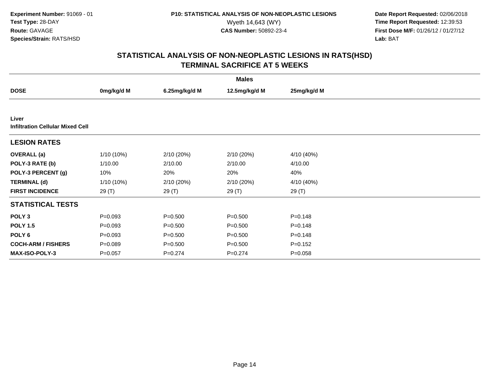**Date Report Requested:** 02/06/2018 Wyeth 14,643 (WY) **Time Report Requested:** 12:39:53<br>**CAS Number:** 50892-23-4 **Time Report Requested:** 12:39:53 **First Dose M/F:** 01/26/12 / 01/27/12<br>**Lab:** BAT **Lab:** BAT

| <b>Males</b>                                     |             |               |               |             |  |  |
|--------------------------------------------------|-------------|---------------|---------------|-------------|--|--|
| <b>DOSE</b>                                      | 0mg/kg/d M  | 6.25mg/kg/d M | 12.5mg/kg/d M | 25mg/kg/d M |  |  |
|                                                  |             |               |               |             |  |  |
| Liver<br><b>Infiltration Cellular Mixed Cell</b> |             |               |               |             |  |  |
| <b>LESION RATES</b>                              |             |               |               |             |  |  |
| <b>OVERALL</b> (a)                               | 1/10 (10%)  | 2/10 (20%)    | 2/10(20%)     | 4/10 (40%)  |  |  |
| POLY-3 RATE (b)                                  | 1/10.00     | 2/10.00       | 2/10.00       | 4/10.00     |  |  |
| POLY-3 PERCENT (g)                               | 10%         | 20%           | 20%           | 40%         |  |  |
| <b>TERMINAL (d)</b>                              | 1/10 (10%)  | 2/10 (20%)    | 2/10 (20%)    | 4/10 (40%)  |  |  |
| <b>FIRST INCIDENCE</b>                           | 29 (T)      | 29 (T)        | 29 (T)        | 29 (T)      |  |  |
| <b>STATISTICAL TESTS</b>                         |             |               |               |             |  |  |
| POLY <sub>3</sub>                                | $P = 0.093$ | $P = 0.500$   | $P = 0.500$   | $P = 0.148$ |  |  |
| <b>POLY 1.5</b>                                  | $P = 0.093$ | $P = 0.500$   | $P = 0.500$   | $P = 0.148$ |  |  |
| POLY 6                                           | $P=0.093$   | $P = 0.500$   | $P = 0.500$   | $P = 0.148$ |  |  |
| <b>COCH-ARM / FISHERS</b>                        | $P = 0.089$ | $P = 0.500$   | $P = 0.500$   | $P=0.152$   |  |  |
| MAX-ISO-POLY-3                                   | $P = 0.057$ | $P = 0.274$   | $P = 0.274$   | $P = 0.058$ |  |  |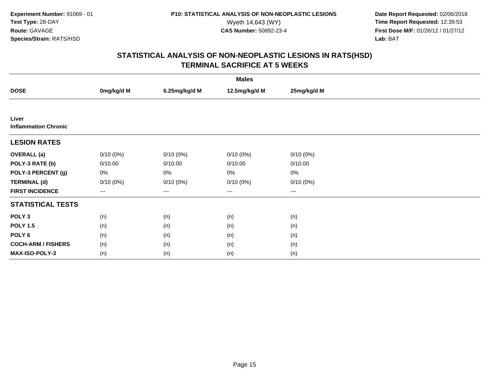**Date Report Requested:** 02/06/2018 Wyeth 14,643 (WY) **Time Report Requested:** 12:39:53<br>**CAS Number:** 50892-23-4 **Time Report Requested:** 12:39:53 **First Dose M/F:** 01/26/12 / 01/27/12<br>**Lab:** BAT **Lab:** BAT

| <b>Males</b>                         |             |               |               |             |  |  |
|--------------------------------------|-------------|---------------|---------------|-------------|--|--|
| <b>DOSE</b>                          | 0mg/kg/d M  | 6.25mg/kg/d M | 12.5mg/kg/d M | 25mg/kg/d M |  |  |
|                                      |             |               |               |             |  |  |
| Liver<br><b>Inflammation Chronic</b> |             |               |               |             |  |  |
| <b>LESION RATES</b>                  |             |               |               |             |  |  |
| <b>OVERALL</b> (a)                   | $0/10(0\%)$ | $0/10(0\%)$   | $0/10(0\%)$   | $0/10(0\%)$ |  |  |
| POLY-3 RATE (b)                      | 0/10.00     | 0/10.00       | 0/10.00       | 0/10.00     |  |  |
| POLY-3 PERCENT (g)                   | 0%          | 0%            | 0%            | 0%          |  |  |
| <b>TERMINAL (d)</b>                  | $0/10(0\%)$ | $0/10(0\%)$   | $0/10(0\%)$   | 0/10(0%)    |  |  |
| <b>FIRST INCIDENCE</b>               | $---$       | ---           | ---           | $---$       |  |  |
| <b>STATISTICAL TESTS</b>             |             |               |               |             |  |  |
| POLY <sub>3</sub>                    | (n)         | (n)           | (n)           | (n)         |  |  |
| <b>POLY 1.5</b>                      | (n)         | (n)           | (n)           | (n)         |  |  |
| POLY <sub>6</sub>                    | (n)         | (n)           | (n)           | (n)         |  |  |
| <b>COCH-ARM / FISHERS</b>            | (n)         | (n)           | (n)           | (n)         |  |  |
| <b>MAX-ISO-POLY-3</b>                | (n)         | (n)           | (n)           | (n)         |  |  |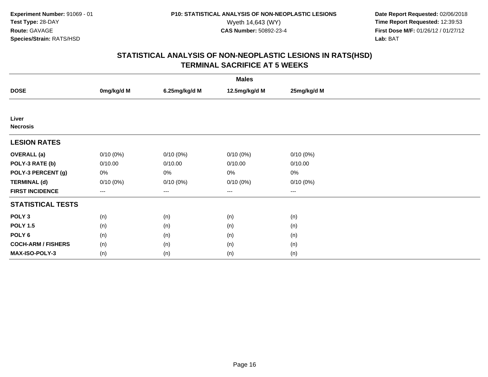**Date Report Requested:** 02/06/2018 Wyeth 14,643 (WY) **Time Report Requested:** 12:39:53<br>**CAS Number:** 50892-23-4 **Time Report Requested:** 12:39:53 **First Dose M/F:** 01/26/12 / 01/27/12<br>**Lab:** BAT **Lab:** BAT

| <b>Males</b>              |             |               |               |                        |  |  |
|---------------------------|-------------|---------------|---------------|------------------------|--|--|
| <b>DOSE</b>               | 0mg/kg/d M  | 6.25mg/kg/d M | 12.5mg/kg/d M | 25mg/kg/d M            |  |  |
|                           |             |               |               |                        |  |  |
| Liver<br><b>Necrosis</b>  |             |               |               |                        |  |  |
| <b>LESION RATES</b>       |             |               |               |                        |  |  |
| <b>OVERALL</b> (a)        | $0/10(0\%)$ | $0/10(0\%)$   | $0/10(0\%)$   | $0/10(0\%)$            |  |  |
| POLY-3 RATE (b)           | 0/10.00     | 0/10.00       | 0/10.00       | 0/10.00                |  |  |
| POLY-3 PERCENT (g)        | 0%          | 0%            | 0%            | 0%                     |  |  |
| <b>TERMINAL (d)</b>       | $0/10(0\%)$ | $0/10(0\%)$   | $0/10(0\%)$   | 0/10(0%)               |  |  |
| <b>FIRST INCIDENCE</b>    | $---$       | ---           | $---$         | $\qquad \qquad \cdots$ |  |  |
| <b>STATISTICAL TESTS</b>  |             |               |               |                        |  |  |
| POLY <sub>3</sub>         | (n)         | (n)           | (n)           | (n)                    |  |  |
| <b>POLY 1.5</b>           | (n)         | (n)           | (n)           | (n)                    |  |  |
| POLY <sub>6</sub>         | (n)         | (n)           | (n)           | (n)                    |  |  |
| <b>COCH-ARM / FISHERS</b> | (n)         | (n)           | (n)           | (n)                    |  |  |
| MAX-ISO-POLY-3            | (n)         | (n)           | (n)           | (n)                    |  |  |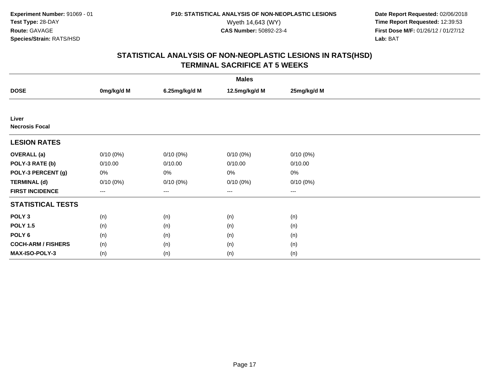**Date Report Requested:** 02/06/2018 Wyeth 14,643 (WY) **Time Report Requested:** 12:39:53<br>**CAS Number:** 50892-23-4 **Time Report Requested:** 12:39:53 **First Dose M/F:** 01/26/12 / 01/27/12<br>**Lab:** BAT **Lab:** BAT

|                                | <b>Males</b> |               |                        |             |  |  |  |
|--------------------------------|--------------|---------------|------------------------|-------------|--|--|--|
| <b>DOSE</b>                    | 0mg/kg/d M   | 6.25mg/kg/d M | 12.5mg/kg/d M          | 25mg/kg/d M |  |  |  |
|                                |              |               |                        |             |  |  |  |
| Liver<br><b>Necrosis Focal</b> |              |               |                        |             |  |  |  |
| <b>LESION RATES</b>            |              |               |                        |             |  |  |  |
| <b>OVERALL</b> (a)             | $0/10(0\%)$  | $0/10(0\%)$   | $0/10(0\%)$            | $0/10(0\%)$ |  |  |  |
| POLY-3 RATE (b)                | 0/10.00      | 0/10.00       | 0/10.00                | 0/10.00     |  |  |  |
| POLY-3 PERCENT (g)             | 0%           | 0%            | 0%                     | 0%          |  |  |  |
| <b>TERMINAL (d)</b>            | $0/10(0\%)$  | $0/10(0\%)$   | $0/10(0\%)$            | 0/10(0%)    |  |  |  |
| <b>FIRST INCIDENCE</b>         | ---          | $---$         | $\qquad \qquad \cdots$ | $\cdots$    |  |  |  |
| <b>STATISTICAL TESTS</b>       |              |               |                        |             |  |  |  |
| POLY <sub>3</sub>              | (n)          | (n)           | (n)                    | (n)         |  |  |  |
| <b>POLY 1.5</b>                | (n)          | (n)           | (n)                    | (n)         |  |  |  |
| POLY 6                         | (n)          | (n)           | (n)                    | (n)         |  |  |  |
| <b>COCH-ARM / FISHERS</b>      | (n)          | (n)           | (n)                    | (n)         |  |  |  |
| MAX-ISO-POLY-3                 | (n)          | (n)           | (n)                    | (n)         |  |  |  |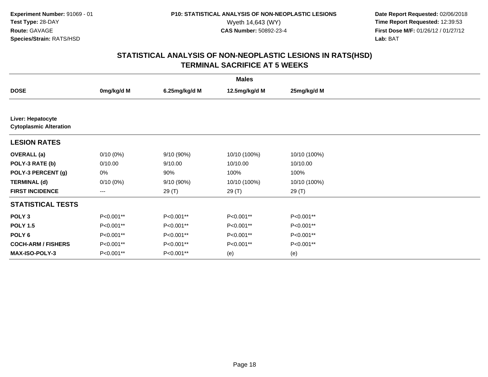**Date Report Requested:** 02/06/2018 Wyeth 14,643 (WY) **Time Report Requested:** 12:39:53<br>**CAS Number:** 50892-23-4 **Time Report Requested:** 12:39:53 **First Dose M/F:** 01/26/12 / 01/27/12<br>**Lab:** BAT **Lab:** BAT

| <b>Males</b>                                       |             |               |               |              |  |  |
|----------------------------------------------------|-------------|---------------|---------------|--------------|--|--|
| <b>DOSE</b>                                        | 0mg/kg/d M  | 6.25mg/kg/d M | 12.5mg/kg/d M | 25mg/kg/d M  |  |  |
|                                                    |             |               |               |              |  |  |
| Liver: Hepatocyte<br><b>Cytoplasmic Alteration</b> |             |               |               |              |  |  |
| <b>LESION RATES</b>                                |             |               |               |              |  |  |
| <b>OVERALL</b> (a)                                 | $0/10(0\%)$ | 9/10 (90%)    | 10/10 (100%)  | 10/10 (100%) |  |  |
| POLY-3 RATE (b)                                    | 0/10.00     | 9/10.00       | 10/10.00      | 10/10.00     |  |  |
| POLY-3 PERCENT (g)                                 | 0%          | 90%           | 100%          | 100%         |  |  |
| <b>TERMINAL (d)</b>                                | $0/10(0\%)$ | 9/10 (90%)    | 10/10 (100%)  | 10/10 (100%) |  |  |
| <b>FIRST INCIDENCE</b>                             | $---$       | 29 (T)        | 29 (T)        | 29 (T)       |  |  |
| <b>STATISTICAL TESTS</b>                           |             |               |               |              |  |  |
| POLY <sub>3</sub>                                  | P<0.001**   | P<0.001**     | P<0.001**     | P<0.001**    |  |  |
| <b>POLY 1.5</b>                                    | P<0.001**   | P<0.001**     | P<0.001**     | P<0.001**    |  |  |
| POLY <sub>6</sub>                                  | P<0.001**   | P<0.001**     | P<0.001**     | P<0.001**    |  |  |
| <b>COCH-ARM / FISHERS</b>                          | P<0.001**   | P<0.001**     | P<0.001**     | P<0.001**    |  |  |
| <b>MAX-ISO-POLY-3</b>                              | P<0.001**   | P<0.001**     | (e)           | (e)          |  |  |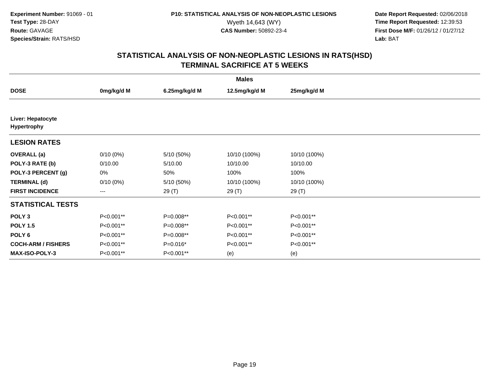**Date Report Requested:** 02/06/2018 Wyeth 14,643 (WY) **Time Report Requested:** 12:39:53<br>**CAS Number:** 50892-23-4 **Time Report Requested:** 12:39:53 **First Dose M/F:** 01/26/12 / 01/27/12<br>**Lab:** BAT **Lab:** BAT

|                                         | <b>Males</b>           |               |               |              |  |  |  |
|-----------------------------------------|------------------------|---------------|---------------|--------------|--|--|--|
| <b>DOSE</b>                             | 0mg/kg/d M             | 6.25mg/kg/d M | 12.5mg/kg/d M | 25mg/kg/d M  |  |  |  |
|                                         |                        |               |               |              |  |  |  |
| Liver: Hepatocyte<br><b>Hypertrophy</b> |                        |               |               |              |  |  |  |
| <b>LESION RATES</b>                     |                        |               |               |              |  |  |  |
| <b>OVERALL</b> (a)                      | $0/10(0\%)$            | 5/10 (50%)    | 10/10 (100%)  | 10/10 (100%) |  |  |  |
| POLY-3 RATE (b)                         | 0/10.00                | 5/10.00       | 10/10.00      | 10/10.00     |  |  |  |
| POLY-3 PERCENT (g)                      | 0%                     | 50%           | 100%          | 100%         |  |  |  |
| <b>TERMINAL (d)</b>                     | $0/10(0\%)$            | 5/10 (50%)    | 10/10 (100%)  | 10/10 (100%) |  |  |  |
| <b>FIRST INCIDENCE</b>                  | $\qquad \qquad \cdots$ | 29 (T)        | 29 (T)        | 29 (T)       |  |  |  |
| <b>STATISTICAL TESTS</b>                |                        |               |               |              |  |  |  |
| POLY <sub>3</sub>                       | P<0.001**              | P=0.008**     | P<0.001**     | P<0.001**    |  |  |  |
| <b>POLY 1.5</b>                         | P<0.001**              | P=0.008**     | P<0.001**     | P<0.001**    |  |  |  |
| POLY <sub>6</sub>                       | P<0.001**              | P=0.008**     | P<0.001**     | P<0.001**    |  |  |  |
| <b>COCH-ARM / FISHERS</b>               | P<0.001**              | P=0.016*      | P<0.001**     | P<0.001**    |  |  |  |
| <b>MAX-ISO-POLY-3</b>                   | P<0.001**              | P<0.001**     | (e)           | (e)          |  |  |  |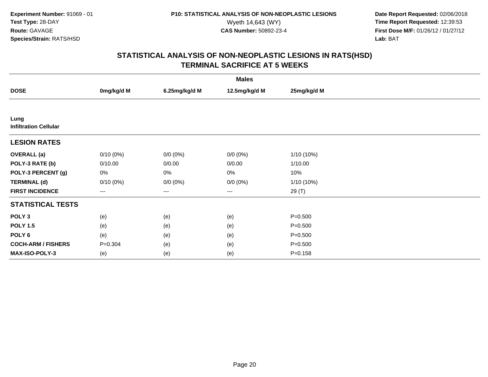**Date Report Requested:** 02/06/2018 Wyeth 14,643 (WY) **Time Report Requested:** 12:39:53<br>**CAS Number:** 50892-23-4 **Time Report Requested:** 12:39:53 **First Dose M/F:** 01/26/12 / 01/27/12<br>**Lab:** BAT **Lab:** BAT

| <b>Males</b>                         |             |               |               |              |  |  |
|--------------------------------------|-------------|---------------|---------------|--------------|--|--|
| <b>DOSE</b>                          | 0mg/kg/d M  | 6.25mg/kg/d M | 12.5mg/kg/d M | 25mg/kg/d M  |  |  |
|                                      |             |               |               |              |  |  |
| Lung<br><b>Infiltration Cellular</b> |             |               |               |              |  |  |
| <b>LESION RATES</b>                  |             |               |               |              |  |  |
| <b>OVERALL</b> (a)                   | $0/10(0\%)$ | $0/0 (0\%)$   | $0/0 (0\%)$   | 1/10 (10%)   |  |  |
| POLY-3 RATE (b)                      | 0/10.00     | 0/0.00        | 0/0.00        | 1/10.00      |  |  |
| POLY-3 PERCENT (g)                   | 0%          | 0%            | 0%            | 10%          |  |  |
| <b>TERMINAL (d)</b>                  | $0/10(0\%)$ | $0/0 (0\%)$   | $0/0 (0\%)$   | $1/10(10\%)$ |  |  |
| <b>FIRST INCIDENCE</b>               | ---         | ---           | $--$          | 29 (T)       |  |  |
| <b>STATISTICAL TESTS</b>             |             |               |               |              |  |  |
| POLY <sub>3</sub>                    | (e)         | (e)           | (e)           | $P = 0.500$  |  |  |
| <b>POLY 1.5</b>                      | (e)         | (e)           | (e)           | $P = 0.500$  |  |  |
| POLY 6                               | (e)         | (e)           | (e)           | $P = 0.500$  |  |  |
| <b>COCH-ARM / FISHERS</b>            | $P = 0.304$ | (e)           | (e)           | $P = 0.500$  |  |  |
| MAX-ISO-POLY-3                       | (e)         | (e)           | (e)           | $P = 0.158$  |  |  |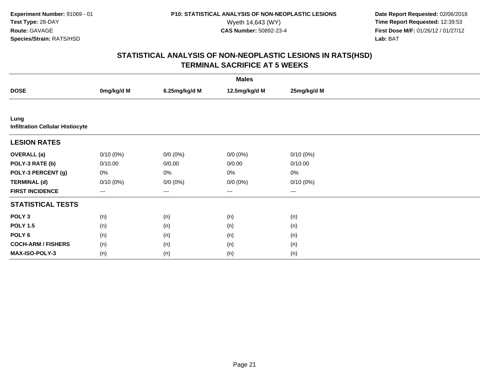**Date Report Requested:** 02/06/2018 Wyeth 14,643 (WY) **Time Report Requested:** 12:39:53<br>**CAS Number:** 50892-23-4 **Time Report Requested:** 12:39:53 **First Dose M/F:** 01/26/12 / 01/27/12<br>**Lab:** BAT **Lab:** BAT

| <b>Males</b>                                    |             |               |                   |             |  |  |
|-------------------------------------------------|-------------|---------------|-------------------|-------------|--|--|
| <b>DOSE</b>                                     | 0mg/kg/d M  | 6.25mg/kg/d M | 12.5mg/kg/d M     | 25mg/kg/d M |  |  |
|                                                 |             |               |                   |             |  |  |
| Lung<br><b>Infiltration Cellular Histiocyte</b> |             |               |                   |             |  |  |
| <b>LESION RATES</b>                             |             |               |                   |             |  |  |
| <b>OVERALL</b> (a)                              | $0/10(0\%)$ | $0/0 (0\%)$   | $0/0 (0\%)$       | $0/10(0\%)$ |  |  |
| POLY-3 RATE (b)                                 | 0/10.00     | 0/0.00        | 0/0.00            | 0/10.00     |  |  |
| POLY-3 PERCENT (g)                              | 0%          | 0%            | $0\%$             | $0\%$       |  |  |
| <b>TERMINAL (d)</b>                             | $0/10(0\%)$ | $0/0 (0\%)$   | $0/0 (0\%)$       | 0/10(0%)    |  |  |
| <b>FIRST INCIDENCE</b>                          | ---         | ---           | $\qquad \qquad -$ | $---$       |  |  |
| <b>STATISTICAL TESTS</b>                        |             |               |                   |             |  |  |
| POLY <sub>3</sub>                               | (n)         | (n)           | (n)               | (n)         |  |  |
| <b>POLY 1.5</b>                                 | (n)         | (n)           | (n)               | (n)         |  |  |
| POLY 6                                          | (n)         | (n)           | (n)               | (n)         |  |  |
| <b>COCH-ARM / FISHERS</b>                       | (n)         | (n)           | (n)               | (n)         |  |  |
| MAX-ISO-POLY-3                                  | (n)         | (n)           | (n)               | (n)         |  |  |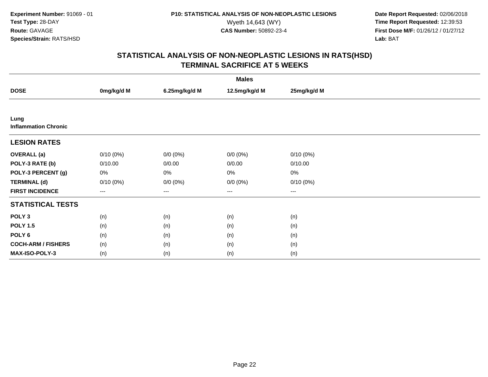**Date Report Requested:** 02/06/2018 Wyeth 14,643 (WY) **Time Report Requested:** 12:39:53<br>**CAS Number:** 50892-23-4 **Time Report Requested:** 12:39:53 **First Dose M/F:** 01/26/12 / 01/27/12<br>**Lab:** BAT **Lab:** BAT

| <b>Males</b>                        |             |               |               |                      |  |  |
|-------------------------------------|-------------|---------------|---------------|----------------------|--|--|
| <b>DOSE</b>                         | 0mg/kg/d M  | 6.25mg/kg/d M | 12.5mg/kg/d M | 25mg/kg/d M          |  |  |
|                                     |             |               |               |                      |  |  |
| Lung<br><b>Inflammation Chronic</b> |             |               |               |                      |  |  |
| <b>LESION RATES</b>                 |             |               |               |                      |  |  |
| <b>OVERALL</b> (a)                  | $0/10(0\%)$ | $0/0 (0\%)$   | $0/0 (0\%)$   | 0/10(0%)             |  |  |
| POLY-3 RATE (b)                     | 0/10.00     | 0/0.00        | 0/0.00        | 0/10.00              |  |  |
| POLY-3 PERCENT (g)                  | 0%          | 0%            | $0\%$         | $0\%$                |  |  |
| <b>TERMINAL (d)</b>                 | $0/10(0\%)$ | $0/0 (0\%)$   | $0/0 (0\%)$   | 0/10(0%)             |  |  |
| <b>FIRST INCIDENCE</b>              | ---         | ---           | $\cdots$      | $\scriptstyle\cdots$ |  |  |
| <b>STATISTICAL TESTS</b>            |             |               |               |                      |  |  |
| POLY <sub>3</sub>                   | (n)         | (n)           | (n)           | (n)                  |  |  |
| <b>POLY 1.5</b>                     | (n)         | (n)           | (n)           | (n)                  |  |  |
| POLY 6                              | (n)         | (n)           | (n)           | (n)                  |  |  |
| <b>COCH-ARM / FISHERS</b>           | (n)         | (n)           | (n)           | (n)                  |  |  |
| MAX-ISO-POLY-3                      | (n)         | (n)           | (n)           | (n)                  |  |  |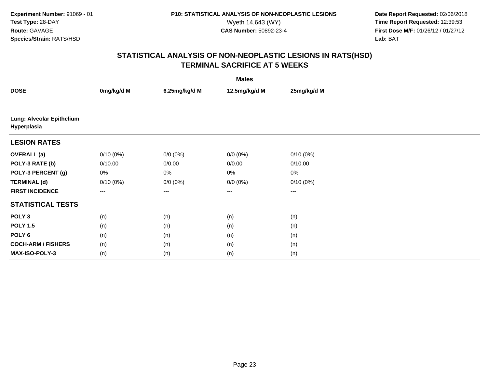**Date Report Requested:** 02/06/2018 Wyeth 14,643 (WY) **Time Report Requested:** 12:39:53<br>**CAS Number:** 50892-23-4 **Time Report Requested:** 12:39:53 **First Dose M/F:** 01/26/12 / 01/27/12<br>**Lab:** BAT **Lab:** BAT

| <b>Males</b>                             |                   |               |                      |             |  |  |
|------------------------------------------|-------------------|---------------|----------------------|-------------|--|--|
| <b>DOSE</b>                              | 0mg/kg/d M        | 6.25mg/kg/d M | 12.5mg/kg/d M        | 25mg/kg/d M |  |  |
|                                          |                   |               |                      |             |  |  |
| Lung: Alveolar Epithelium<br>Hyperplasia |                   |               |                      |             |  |  |
| <b>LESION RATES</b>                      |                   |               |                      |             |  |  |
| <b>OVERALL (a)</b>                       | $0/10(0\%)$       | $0/0 (0\%)$   | $0/0 (0\%)$          | 0/10(0%)    |  |  |
| POLY-3 RATE (b)                          | 0/10.00           | 0/0.00        | 0/0.00               | 0/10.00     |  |  |
| POLY-3 PERCENT (g)                       | 0%                | 0%            | 0%                   | $0\%$       |  |  |
| <b>TERMINAL (d)</b>                      | $0/10(0\%)$       | $0/0 (0\%)$   | $0/0 (0\%)$          | 0/10(0%)    |  |  |
| <b>FIRST INCIDENCE</b>                   | $\qquad \qquad -$ | $\cdots$      | $\scriptstyle\cdots$ | $\cdots$    |  |  |
| <b>STATISTICAL TESTS</b>                 |                   |               |                      |             |  |  |
| POLY <sub>3</sub>                        | (n)               | (n)           | (n)                  | (n)         |  |  |
| <b>POLY 1.5</b>                          | (n)               | (n)           | (n)                  | (n)         |  |  |
| POLY <sub>6</sub>                        | (n)               | (n)           | (n)                  | (n)         |  |  |
| <b>COCH-ARM / FISHERS</b>                | (n)               | (n)           | (n)                  | (n)         |  |  |
| <b>MAX-ISO-POLY-3</b>                    | (n)               | (n)           | (n)                  | (n)         |  |  |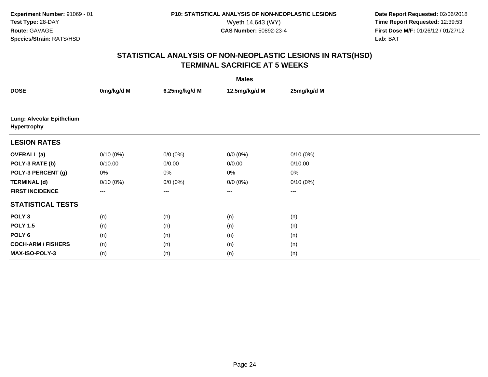**Date Report Requested:** 02/06/2018 Wyeth 14,643 (WY) **Time Report Requested:** 12:39:53<br>**CAS Number:** 50892-23-4 **Time Report Requested:** 12:39:53 **First Dose M/F:** 01/26/12 / 01/27/12<br>**Lab:** BAT **Lab:** BAT

| <b>Males</b>                             |             |               |               |             |  |  |
|------------------------------------------|-------------|---------------|---------------|-------------|--|--|
| <b>DOSE</b>                              | 0mg/kg/d M  | 6.25mg/kg/d M | 12.5mg/kg/d M | 25mg/kg/d M |  |  |
|                                          |             |               |               |             |  |  |
| Lung: Alveolar Epithelium<br>Hypertrophy |             |               |               |             |  |  |
| <b>LESION RATES</b>                      |             |               |               |             |  |  |
| <b>OVERALL (a)</b>                       | $0/10(0\%)$ | $0/0 (0\%)$   | $0/0 (0\%)$   | $0/10(0\%)$ |  |  |
| POLY-3 RATE (b)                          | 0/10.00     | 0/0.00        | 0/0.00        | 0/10.00     |  |  |
| POLY-3 PERCENT (g)                       | 0%          | 0%            | 0%            | $0\%$       |  |  |
| <b>TERMINAL (d)</b>                      | $0/10(0\%)$ | $0/0 (0\%)$   | $0/0 (0\%)$   | 0/10(0%)    |  |  |
| <b>FIRST INCIDENCE</b>                   | $\cdots$    | ---           | ---           | ---         |  |  |
| <b>STATISTICAL TESTS</b>                 |             |               |               |             |  |  |
| POLY <sub>3</sub>                        | (n)         | (n)           | (n)           | (n)         |  |  |
| <b>POLY 1.5</b>                          | (n)         | (n)           | (n)           | (n)         |  |  |
| POLY 6                                   | (n)         | (n)           | (n)           | (n)         |  |  |
| <b>COCH-ARM / FISHERS</b>                | (n)         | (n)           | (n)           | (n)         |  |  |
| MAX-ISO-POLY-3                           | (n)         | (n)           | (n)           | (n)         |  |  |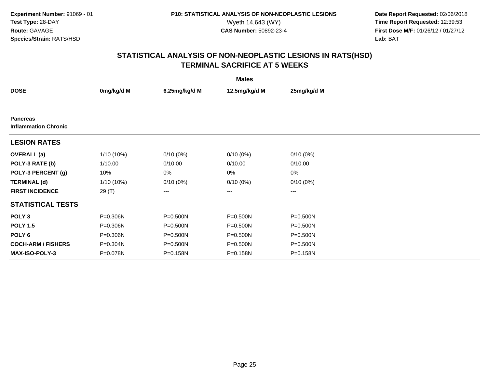**Date Report Requested:** 02/06/2018 Wyeth 14,643 (WY) **Time Report Requested:** 12:39:53<br>**CAS Number:** 50892-23-4 **Time Report Requested:** 12:39:53 **First Dose M/F:** 01/26/12 / 01/27/12<br>**Lab:** BAT **Lab:** BAT

| <b>Males</b>                                   |            |               |                        |             |  |  |
|------------------------------------------------|------------|---------------|------------------------|-------------|--|--|
| <b>DOSE</b>                                    | 0mg/kg/d M | 6.25mg/kg/d M | 12.5mg/kg/d M          | 25mg/kg/d M |  |  |
|                                                |            |               |                        |             |  |  |
| <b>Pancreas</b><br><b>Inflammation Chronic</b> |            |               |                        |             |  |  |
| <b>LESION RATES</b>                            |            |               |                        |             |  |  |
| <b>OVERALL</b> (a)                             | 1/10 (10%) | $0/10(0\%)$   | $0/10(0\%)$            | $0/10(0\%)$ |  |  |
| POLY-3 RATE (b)                                | 1/10.00    | 0/10.00       | 0/10.00                | 0/10.00     |  |  |
| POLY-3 PERCENT (g)                             | 10%        | 0%            | 0%                     | 0%          |  |  |
| <b>TERMINAL (d)</b>                            | 1/10 (10%) | $0/10(0\%)$   | $0/10(0\%)$            | $0/10(0\%)$ |  |  |
| <b>FIRST INCIDENCE</b>                         | 29 (T)     | ---           | $\qquad \qquad \cdots$ | ---         |  |  |
| <b>STATISTICAL TESTS</b>                       |            |               |                        |             |  |  |
| POLY <sub>3</sub>                              | P=0.306N   | P=0.500N      | P=0.500N               | P=0.500N    |  |  |
| <b>POLY 1.5</b>                                | P=0.306N   | P=0.500N      | P=0.500N               | P=0.500N    |  |  |
| POLY 6                                         | P=0.306N   | P=0.500N      | P=0.500N               | P=0.500N    |  |  |
| <b>COCH-ARM / FISHERS</b>                      | P=0.304N   | P=0.500N      | P=0.500N               | P=0.500N    |  |  |
| <b>MAX-ISO-POLY-3</b>                          | P=0.078N   | P=0.158N      | P=0.158N               | P=0.158N    |  |  |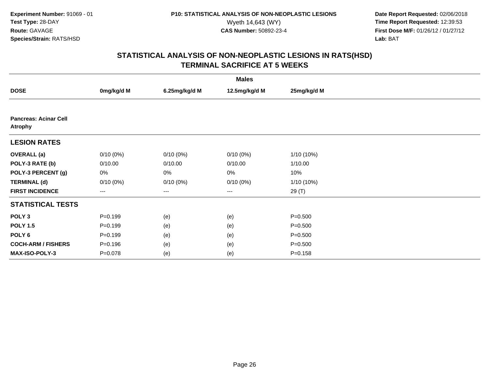**Date Report Requested:** 02/06/2018 Wyeth 14,643 (WY) **Time Report Requested:** 12:39:53<br>**CAS Number:** 50892-23-4 **Time Report Requested:** 12:39:53 **First Dose M/F:** 01/26/12 / 01/27/12<br>**Lab:** BAT **Lab:** BAT

| <b>Males</b>                                   |             |               |               |              |  |  |
|------------------------------------------------|-------------|---------------|---------------|--------------|--|--|
| <b>DOSE</b>                                    | 0mg/kg/d M  | 6.25mg/kg/d M | 12.5mg/kg/d M | 25mg/kg/d M  |  |  |
|                                                |             |               |               |              |  |  |
| <b>Pancreas: Acinar Cell</b><br><b>Atrophy</b> |             |               |               |              |  |  |
| <b>LESION RATES</b>                            |             |               |               |              |  |  |
| <b>OVERALL</b> (a)                             | $0/10(0\%)$ | $0/10(0\%)$   | $0/10(0\%)$   | $1/10(10\%)$ |  |  |
| POLY-3 RATE (b)                                | 0/10.00     | 0/10.00       | 0/10.00       | 1/10.00      |  |  |
| POLY-3 PERCENT (g)                             | 0%          | 0%            | 0%            | 10%          |  |  |
| <b>TERMINAL (d)</b>                            | $0/10(0\%)$ | $0/10(0\%)$   | $0/10(0\%)$   | 1/10 (10%)   |  |  |
| <b>FIRST INCIDENCE</b>                         | ---         | ---           | $--$          | 29(T)        |  |  |
| <b>STATISTICAL TESTS</b>                       |             |               |               |              |  |  |
| POLY <sub>3</sub>                              | $P = 0.199$ | (e)           | (e)           | $P = 0.500$  |  |  |
| <b>POLY 1.5</b>                                | $P = 0.199$ | (e)           | (e)           | $P = 0.500$  |  |  |
| POLY 6                                         | $P = 0.199$ | (e)           | (e)           | $P = 0.500$  |  |  |
| <b>COCH-ARM / FISHERS</b>                      | $P = 0.196$ | (e)           | (e)           | $P = 0.500$  |  |  |
| MAX-ISO-POLY-3                                 | $P = 0.078$ | (e)           | (e)           | $P = 0.158$  |  |  |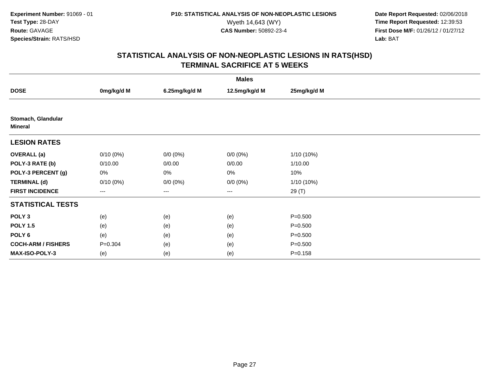**Date Report Requested:** 02/06/2018 Wyeth 14,643 (WY) **Time Report Requested:** 12:39:53<br>**CAS Number:** 50892-23-4 **Time Report Requested:** 12:39:53 **First Dose M/F:** 01/26/12 / 01/27/12<br>**Lab:** BAT **Lab:** BAT

| <b>Males</b>                         |             |               |               |              |  |  |
|--------------------------------------|-------------|---------------|---------------|--------------|--|--|
| <b>DOSE</b>                          | 0mg/kg/d M  | 6.25mg/kg/d M | 12.5mg/kg/d M | 25mg/kg/d M  |  |  |
|                                      |             |               |               |              |  |  |
| Stomach, Glandular<br><b>Mineral</b> |             |               |               |              |  |  |
| <b>LESION RATES</b>                  |             |               |               |              |  |  |
| <b>OVERALL</b> (a)                   | $0/10(0\%)$ | $0/0 (0\%)$   | $0/0 (0\%)$   | $1/10(10\%)$ |  |  |
| POLY-3 RATE (b)                      | 0/10.00     | 0/0.00        | 0/0.00        | 1/10.00      |  |  |
| POLY-3 PERCENT (g)                   | 0%          | 0%            | 0%            | 10%          |  |  |
| <b>TERMINAL (d)</b>                  | $0/10(0\%)$ | $0/0 (0\%)$   | $0/0 (0\%)$   | $1/10(10\%)$ |  |  |
| <b>FIRST INCIDENCE</b>               | ---         | ---           | $\cdots$      | 29 (T)       |  |  |
| <b>STATISTICAL TESTS</b>             |             |               |               |              |  |  |
| POLY <sub>3</sub>                    | (e)         | (e)           | (e)           | $P = 0.500$  |  |  |
| <b>POLY 1.5</b>                      | (e)         | (e)           | (e)           | $P = 0.500$  |  |  |
| POLY <sub>6</sub>                    | (e)         | (e)           | (e)           | $P = 0.500$  |  |  |
| <b>COCH-ARM / FISHERS</b>            | $P = 0.304$ | (e)           | (e)           | $P = 0.500$  |  |  |
| <b>MAX-ISO-POLY-3</b>                | (e)         | (e)           | (e)           | $P = 0.158$  |  |  |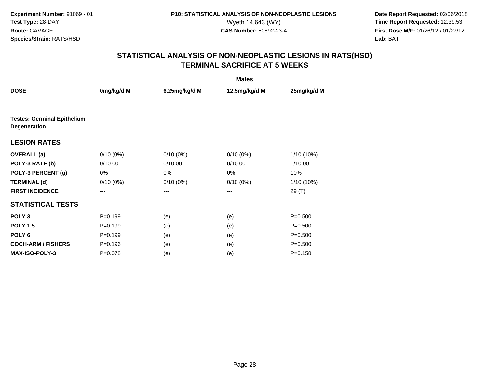**Date Report Requested:** 02/06/2018 Wyeth 14,643 (WY) **Time Report Requested:** 12:39:53<br>**CAS Number:** 50892-23-4 **Time Report Requested:** 12:39:53 **First Dose M/F:** 01/26/12 / 01/27/12<br>**Lab:** BAT **Lab:** BAT

|                                                    |             |               | <b>Males</b>      |             |  |
|----------------------------------------------------|-------------|---------------|-------------------|-------------|--|
| <b>DOSE</b>                                        | 0mg/kg/d M  | 6.25mg/kg/d M | 12.5mg/kg/d M     | 25mg/kg/d M |  |
|                                                    |             |               |                   |             |  |
| <b>Testes: Germinal Epithelium</b><br>Degeneration |             |               |                   |             |  |
| <b>LESION RATES</b>                                |             |               |                   |             |  |
| <b>OVERALL</b> (a)                                 | $0/10(0\%)$ | $0/10(0\%)$   | $0/10(0\%)$       | 1/10 (10%)  |  |
| POLY-3 RATE (b)                                    | 0/10.00     | 0/10.00       | 0/10.00           | 1/10.00     |  |
| POLY-3 PERCENT (g)                                 | 0%          | 0%            | 0%                | 10%         |  |
| <b>TERMINAL (d)</b>                                | $0/10(0\%)$ | $0/10(0\%)$   | 0/10(0%)          | 1/10 (10%)  |  |
| <b>FIRST INCIDENCE</b>                             | $---$       | $--$          | $\qquad \qquad -$ | 29(T)       |  |
| <b>STATISTICAL TESTS</b>                           |             |               |                   |             |  |
| POLY <sub>3</sub>                                  | $P=0.199$   | (e)           | (e)               | $P = 0.500$ |  |
| <b>POLY 1.5</b>                                    | $P=0.199$   | (e)           | (e)               | $P = 0.500$ |  |
| POLY <sub>6</sub>                                  | $P=0.199$   | (e)           | (e)               | $P = 0.500$ |  |
| <b>COCH-ARM / FISHERS</b>                          | $P = 0.196$ | (e)           | (e)               | $P = 0.500$ |  |
| MAX-ISO-POLY-3                                     | $P = 0.078$ | (e)           | (e)               | $P = 0.158$ |  |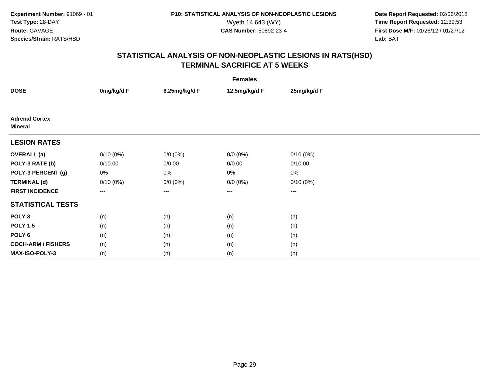**Date Report Requested:** 02/06/2018 Wyeth 14,643 (WY) **Time Report Requested:** 12:39:53<br>**CAS Number:** 50892-23-4 **Time Report Requested:** 12:39:53 **First Dose M/F:** 01/26/12 / 01/27/12<br>**Lab:** BAT **Lab:** BAT

| <b>Females</b>                          |             |               |               |                        |  |  |
|-----------------------------------------|-------------|---------------|---------------|------------------------|--|--|
| <b>DOSE</b>                             | 0mg/kg/d F  | 6.25mg/kg/d F | 12.5mg/kg/d F | 25mg/kg/d F            |  |  |
|                                         |             |               |               |                        |  |  |
| <b>Adrenal Cortex</b><br><b>Mineral</b> |             |               |               |                        |  |  |
| <b>LESION RATES</b>                     |             |               |               |                        |  |  |
| <b>OVERALL</b> (a)                      | $0/10(0\%)$ | $0/0 (0\%)$   | $0/0 (0\%)$   | $0/10(0\%)$            |  |  |
| POLY-3 RATE (b)                         | 0/10.00     | 0/0.00        | 0/0.00        | 0/10.00                |  |  |
| POLY-3 PERCENT (g)                      | 0%          | 0%            | 0%            | 0%                     |  |  |
| <b>TERMINAL (d)</b>                     | $0/10(0\%)$ | $0/0 (0\%)$   | $0/0 (0\%)$   | $0/10(0\%)$            |  |  |
| <b>FIRST INCIDENCE</b>                  | $---$       | ---           | $---$         | $\qquad \qquad \cdots$ |  |  |
| <b>STATISTICAL TESTS</b>                |             |               |               |                        |  |  |
| POLY <sub>3</sub>                       | (n)         | (n)           | (n)           | (n)                    |  |  |
| <b>POLY 1.5</b>                         | (n)         | (n)           | (n)           | (n)                    |  |  |
| POLY <sub>6</sub>                       | (n)         | (n)           | (n)           | (n)                    |  |  |
| <b>COCH-ARM / FISHERS</b>               | (n)         | (n)           | (n)           | (n)                    |  |  |
| MAX-ISO-POLY-3                          | (n)         | (n)           | (n)           | (n)                    |  |  |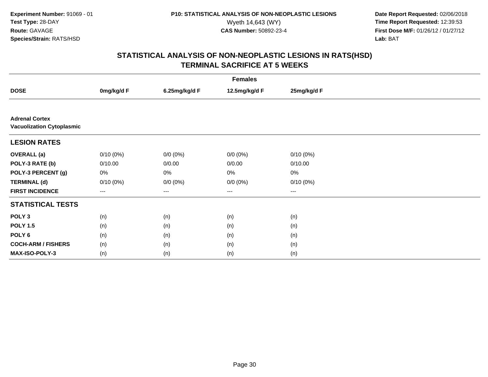**Date Report Requested:** 02/06/2018 Wyeth 14,643 (WY) **Time Report Requested:** 12:39:53<br>**CAS Number:** 50892-23-4 **Time Report Requested:** 12:39:53 **First Dose M/F:** 01/26/12 / 01/27/12<br>**Lab:** BAT **Lab:** BAT

| <b>Females</b>                                            |             |               |               |             |  |  |
|-----------------------------------------------------------|-------------|---------------|---------------|-------------|--|--|
| <b>DOSE</b>                                               | 0mg/kg/d F  | 6.25mg/kg/d F | 12.5mg/kg/d F | 25mg/kg/d F |  |  |
|                                                           |             |               |               |             |  |  |
| <b>Adrenal Cortex</b><br><b>Vacuolization Cytoplasmic</b> |             |               |               |             |  |  |
| <b>LESION RATES</b>                                       |             |               |               |             |  |  |
| <b>OVERALL</b> (a)                                        | $0/10(0\%)$ | $0/0 (0\%)$   | $0/0 (0\%)$   | $0/10(0\%)$ |  |  |
| POLY-3 RATE (b)                                           | 0/10.00     | 0/0.00        | 0/0.00        | 0/10.00     |  |  |
| POLY-3 PERCENT (g)                                        | 0%          | 0%            | 0%            | $0\%$       |  |  |
| <b>TERMINAL (d)</b>                                       | $0/10(0\%)$ | $0/0 (0\%)$   | $0/0 (0\%)$   | 0/10(0%)    |  |  |
| <b>FIRST INCIDENCE</b>                                    | $---$       | $---$         | $---$         | $---$       |  |  |
| <b>STATISTICAL TESTS</b>                                  |             |               |               |             |  |  |
| POLY <sub>3</sub>                                         | (n)         | (n)           | (n)           | (n)         |  |  |
| <b>POLY 1.5</b>                                           | (n)         | (n)           | (n)           | (n)         |  |  |
| POLY 6                                                    | (n)         | (n)           | (n)           | (n)         |  |  |
| <b>COCH-ARM / FISHERS</b>                                 | (n)         | (n)           | (n)           | (n)         |  |  |
| MAX-ISO-POLY-3                                            | (n)         | (n)           | (n)           | (n)         |  |  |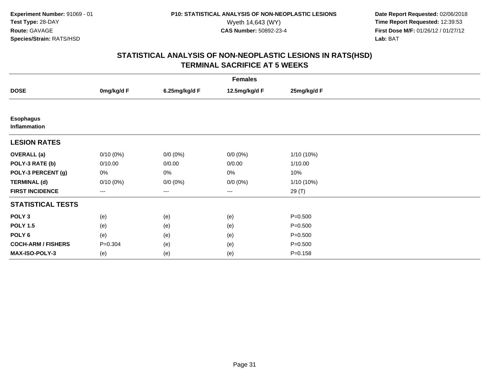**Date Report Requested:** 02/06/2018 Wyeth 14,643 (WY) **Time Report Requested:** 12:39:53<br>**CAS Number:** 50892-23-4 **Time Report Requested:** 12:39:53 **First Dose M/F:** 01/26/12 / 01/27/12<br>**Lab:** BAT **Lab:** BAT

| <b>Females</b>                   |             |               |                   |              |  |  |
|----------------------------------|-------------|---------------|-------------------|--------------|--|--|
| <b>DOSE</b>                      | 0mg/kg/d F  | 6.25mg/kg/d F | 12.5mg/kg/d F     | 25mg/kg/d F  |  |  |
|                                  |             |               |                   |              |  |  |
| <b>Esophagus</b><br>Inflammation |             |               |                   |              |  |  |
| <b>LESION RATES</b>              |             |               |                   |              |  |  |
| <b>OVERALL</b> (a)               | $0/10(0\%)$ | $0/0 (0\%)$   | $0/0 (0\%)$       | $1/10(10\%)$ |  |  |
| POLY-3 RATE (b)                  | 0/10.00     | 0/0.00        | 0/0.00            | 1/10.00      |  |  |
| POLY-3 PERCENT (g)               | 0%          | 0%            | 0%                | 10%          |  |  |
| <b>TERMINAL (d)</b>              | $0/10(0\%)$ | $0/0 (0\%)$   | $0/0 (0\%)$       | $1/10(10\%)$ |  |  |
| <b>FIRST INCIDENCE</b>           | ---         | ---           | $\qquad \qquad -$ | 29 (T)       |  |  |
| <b>STATISTICAL TESTS</b>         |             |               |                   |              |  |  |
| POLY <sub>3</sub>                | (e)         | (e)           | (e)               | $P = 0.500$  |  |  |
| <b>POLY 1.5</b>                  | (e)         | (e)           | (e)               | $P = 0.500$  |  |  |
| POLY 6                           | (e)         | (e)           | (e)               | $P = 0.500$  |  |  |
| <b>COCH-ARM / FISHERS</b>        | $P = 0.304$ | (e)           | (e)               | $P = 0.500$  |  |  |
| <b>MAX-ISO-POLY-3</b>            | (e)         | (e)           | (e)               | $P = 0.158$  |  |  |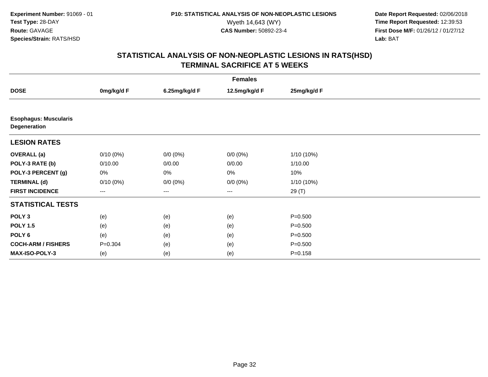**Date Report Requested:** 02/06/2018 Wyeth 14,643 (WY) **Time Report Requested:** 12:39:53<br>**CAS Number:** 50892-23-4 **Time Report Requested:** 12:39:53 **First Dose M/F:** 01/26/12 / 01/27/12<br>**Lab:** BAT **Lab:** BAT

| <b>Females</b>                               |                   |               |                      |              |  |  |
|----------------------------------------------|-------------------|---------------|----------------------|--------------|--|--|
| <b>DOSE</b>                                  | 0mg/kg/d F        | 6.25mg/kg/d F | 12.5mg/kg/d F        | 25mg/kg/d F  |  |  |
|                                              |                   |               |                      |              |  |  |
| <b>Esophagus: Muscularis</b><br>Degeneration |                   |               |                      |              |  |  |
| <b>LESION RATES</b>                          |                   |               |                      |              |  |  |
| <b>OVERALL</b> (a)                           | $0/10(0\%)$       | $0/0 (0\%)$   | $0/0(0\%)$           | $1/10(10\%)$ |  |  |
| POLY-3 RATE (b)                              | 0/10.00           | 0/0.00        | 0/0.00               | 1/10.00      |  |  |
| POLY-3 PERCENT (g)                           | 0%                | 0%            | 0%                   | 10%          |  |  |
| <b>TERMINAL (d)</b>                          | $0/10(0\%)$       | $0/0 (0\%)$   | $0/0 (0\%)$          | $1/10(10\%)$ |  |  |
| <b>FIRST INCIDENCE</b>                       | $\qquad \qquad -$ | $\cdots$      | $\scriptstyle\cdots$ | 29 (T)       |  |  |
| <b>STATISTICAL TESTS</b>                     |                   |               |                      |              |  |  |
| POLY <sub>3</sub>                            | (e)               | (e)           | (e)                  | $P = 0.500$  |  |  |
| <b>POLY 1.5</b>                              | (e)               | (e)           | (e)                  | $P = 0.500$  |  |  |
| POLY 6                                       | (e)               | (e)           | (e)                  | $P = 0.500$  |  |  |
| <b>COCH-ARM / FISHERS</b>                    | $P = 0.304$       | (e)           | (e)                  | $P = 0.500$  |  |  |
| <b>MAX-ISO-POLY-3</b>                        | (e)               | (e)           | (e)                  | $P = 0.158$  |  |  |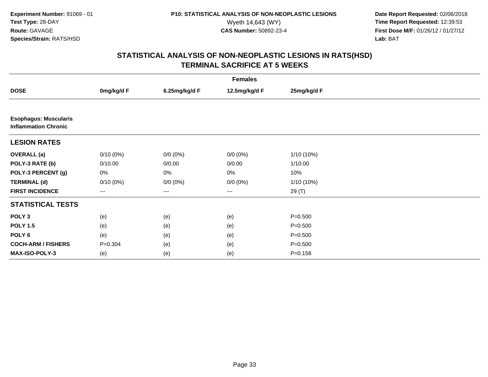**Date Report Requested:** 02/06/2018 Wyeth 14,643 (WY) **Time Report Requested:** 12:39:53<br>**CAS Number:** 50892-23-4 **Time Report Requested:** 12:39:53 **First Dose M/F:** 01/26/12 / 01/27/12<br>**Lab:** BAT **Lab:** BAT

| <b>Females</b>                                              |             |               |               |             |  |  |
|-------------------------------------------------------------|-------------|---------------|---------------|-------------|--|--|
| <b>DOSE</b>                                                 | 0mg/kg/d F  | 6.25mg/kg/d F | 12.5mg/kg/d F | 25mg/kg/d F |  |  |
|                                                             |             |               |               |             |  |  |
| <b>Esophagus: Muscularis</b><br><b>Inflammation Chronic</b> |             |               |               |             |  |  |
| <b>LESION RATES</b>                                         |             |               |               |             |  |  |
| <b>OVERALL</b> (a)                                          | $0/10(0\%)$ | $0/0 (0\%)$   | $0/0 (0\%)$   | 1/10 (10%)  |  |  |
| POLY-3 RATE (b)                                             | 0/10.00     | 0/0.00        | 0/0.00        | 1/10.00     |  |  |
| POLY-3 PERCENT (g)                                          | 0%          | 0%            | 0%            | 10%         |  |  |
| <b>TERMINAL (d)</b>                                         | $0/10(0\%)$ | $0/0 (0\%)$   | $0/0 (0\%)$   | 1/10 (10%)  |  |  |
| <b>FIRST INCIDENCE</b>                                      | $---$       | $\cdots$      | $\cdots$      | 29 (T)      |  |  |
| <b>STATISTICAL TESTS</b>                                    |             |               |               |             |  |  |
| POLY <sub>3</sub>                                           | (e)         | (e)           | (e)           | $P = 0.500$ |  |  |
| <b>POLY 1.5</b>                                             | (e)         | (e)           | (e)           | $P = 0.500$ |  |  |
| POLY <sub>6</sub>                                           | (e)         | (e)           | (e)           | $P = 0.500$ |  |  |
| <b>COCH-ARM / FISHERS</b>                                   | $P = 0.304$ | (e)           | (e)           | $P = 0.500$ |  |  |
| <b>MAX-ISO-POLY-3</b>                                       | (e)         | (e)           | (e)           | $P = 0.158$ |  |  |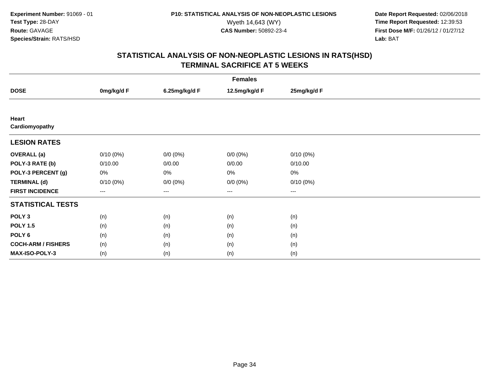**Date Report Requested:** 02/06/2018 Wyeth 14,643 (WY) **Time Report Requested:** 12:39:53<br>**CAS Number:** 50892-23-4 **Time Report Requested:** 12:39:53 **First Dose M/F:** 01/26/12 / 01/27/12<br>**Lab:** BAT **Lab:** BAT

| <b>Females</b>            |                   |               |               |                        |  |  |
|---------------------------|-------------------|---------------|---------------|------------------------|--|--|
| <b>DOSE</b>               | 0mg/kg/d F        | 6.25mg/kg/d F | 12.5mg/kg/d F | 25mg/kg/d F            |  |  |
|                           |                   |               |               |                        |  |  |
| Heart<br>Cardiomyopathy   |                   |               |               |                        |  |  |
| <b>LESION RATES</b>       |                   |               |               |                        |  |  |
| <b>OVERALL</b> (a)        | $0/10(0\%)$       | $0/0 (0\%)$   | $0/0 (0\%)$   | $0/10(0\%)$            |  |  |
| POLY-3 RATE (b)           | 0/10.00           | 0/0.00        | 0/0.00        | 0/10.00                |  |  |
| POLY-3 PERCENT (g)        | 0%                | 0%            | 0%            | 0%                     |  |  |
| <b>TERMINAL (d)</b>       | $0/10(0\%)$       | $0/0 (0\%)$   | $0/0 (0\%)$   | 0/10(0%)               |  |  |
| <b>FIRST INCIDENCE</b>    | $\qquad \qquad -$ | ---           | ---           | $\qquad \qquad \cdots$ |  |  |
| <b>STATISTICAL TESTS</b>  |                   |               |               |                        |  |  |
| POLY <sub>3</sub>         | (n)               | (n)           | (n)           | (n)                    |  |  |
| <b>POLY 1.5</b>           | (n)               | (n)           | (n)           | (n)                    |  |  |
| POLY <sub>6</sub>         | (n)               | (n)           | (n)           | (n)                    |  |  |
| <b>COCH-ARM / FISHERS</b> | (n)               | (n)           | (n)           | (n)                    |  |  |
| MAX-ISO-POLY-3            | (n)               | (n)           | (n)           | (n)                    |  |  |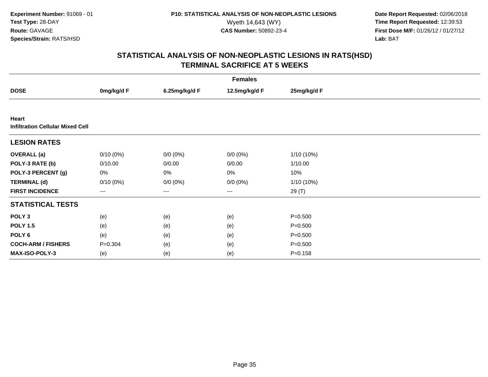**Date Report Requested:** 02/06/2018 Wyeth 14,643 (WY) **Time Report Requested:** 12:39:53<br>**CAS Number:** 50892-23-4 **Time Report Requested:** 12:39:53 **First Dose M/F:** 01/26/12 / 01/27/12<br>**Lab:** BAT **Lab:** BAT

| <b>Females</b>                                   |             |               |               |              |  |  |
|--------------------------------------------------|-------------|---------------|---------------|--------------|--|--|
| <b>DOSE</b>                                      | 0mg/kg/d F  | 6.25mg/kg/d F | 12.5mg/kg/d F | 25mg/kg/d F  |  |  |
|                                                  |             |               |               |              |  |  |
| Heart<br><b>Infiltration Cellular Mixed Cell</b> |             |               |               |              |  |  |
| <b>LESION RATES</b>                              |             |               |               |              |  |  |
| <b>OVERALL (a)</b>                               | $0/10(0\%)$ | $0/0 (0\%)$   | $0/0 (0\%)$   | $1/10(10\%)$ |  |  |
| POLY-3 RATE (b)                                  | 0/10.00     | 0/0.00        | 0/0.00        | 1/10.00      |  |  |
| POLY-3 PERCENT (g)                               | 0%          | 0%            | 0%            | 10%          |  |  |
| <b>TERMINAL (d)</b>                              | $0/10(0\%)$ | $0/0 (0\%)$   | $0/0 (0\%)$   | $1/10(10\%)$ |  |  |
| <b>FIRST INCIDENCE</b>                           | $\cdots$    | ---           | ---           | 29 (T)       |  |  |
| <b>STATISTICAL TESTS</b>                         |             |               |               |              |  |  |
| POLY <sub>3</sub>                                | (e)         | (e)           | (e)           | $P = 0.500$  |  |  |
| <b>POLY 1.5</b>                                  | (e)         | (e)           | (e)           | $P = 0.500$  |  |  |
| POLY 6                                           | (e)         | (e)           | (e)           | $P = 0.500$  |  |  |
| <b>COCH-ARM / FISHERS</b>                        | $P = 0.304$ | (e)           | (e)           | $P = 0.500$  |  |  |
| MAX-ISO-POLY-3                                   | (e)         | (e)           | (e)           | $P = 0.158$  |  |  |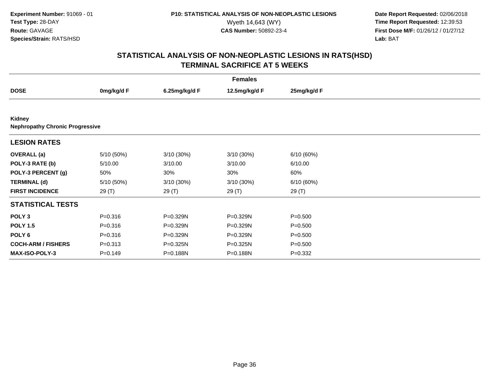**Date Report Requested:** 02/06/2018 Wyeth 14,643 (WY) **Time Report Requested:** 12:39:53<br>**CAS Number:** 50892-23-4 **Time Report Requested:** 12:39:53 **First Dose M/F:** 01/26/12 / 01/27/12<br>**Lab:** BAT **Lab:** BAT

| <b>Females</b>                                   |             |               |               |             |  |  |
|--------------------------------------------------|-------------|---------------|---------------|-------------|--|--|
| <b>DOSE</b>                                      | 0mg/kg/d F  | 6.25mg/kg/d F | 12.5mg/kg/d F | 25mg/kg/d F |  |  |
|                                                  |             |               |               |             |  |  |
| Kidney<br><b>Nephropathy Chronic Progressive</b> |             |               |               |             |  |  |
| <b>LESION RATES</b>                              |             |               |               |             |  |  |
| <b>OVERALL</b> (a)                               | 5/10 (50%)  | 3/10 (30%)    | $3/10(30\%)$  | 6/10(60%)   |  |  |
| POLY-3 RATE (b)                                  | 5/10.00     | 3/10.00       | 3/10.00       | 6/10.00     |  |  |
| POLY-3 PERCENT (g)                               | 50%         | 30%           | 30%           | 60%         |  |  |
| <b>TERMINAL (d)</b>                              | 5/10 (50%)  | 3/10 (30%)    | 3/10 (30%)    | 6/10(60%)   |  |  |
| <b>FIRST INCIDENCE</b>                           | 29 (T)      | 29 (T)        | 29 (T)        | 29 (T)      |  |  |
| <b>STATISTICAL TESTS</b>                         |             |               |               |             |  |  |
| POLY <sub>3</sub>                                | $P = 0.316$ | P=0.329N      | P=0.329N      | $P = 0.500$ |  |  |
| <b>POLY 1.5</b>                                  | $P = 0.316$ | P=0.329N      | P=0.329N      | $P = 0.500$ |  |  |
| POLY <sub>6</sub>                                | $P = 0.316$ | P=0.329N      | P=0.329N      | $P = 0.500$ |  |  |
| <b>COCH-ARM / FISHERS</b>                        | $P = 0.313$ | P=0.325N      | P=0.325N      | $P = 0.500$ |  |  |
| <b>MAX-ISO-POLY-3</b>                            | $P = 0.149$ | P=0.188N      | P=0.188N      | $P=0.332$   |  |  |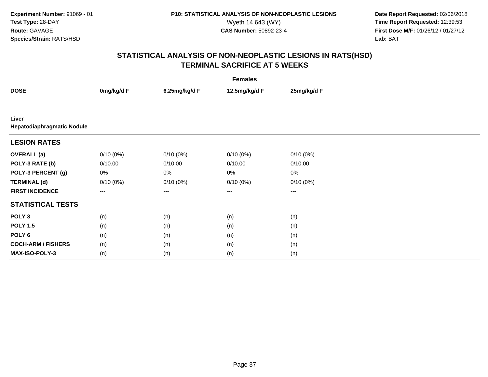**Date Report Requested:** 02/06/2018 Wyeth 14,643 (WY) **Time Report Requested:** 12:39:53<br>**CAS Number:** 50892-23-4 **Time Report Requested:** 12:39:53 **First Dose M/F:** 01/26/12 / 01/27/12<br>**Lab:** BAT **Lab:** BAT

| <b>Females</b>                      |             |               |                   |             |  |  |
|-------------------------------------|-------------|---------------|-------------------|-------------|--|--|
| <b>DOSE</b>                         | 0mg/kg/d F  | 6.25mg/kg/d F | 12.5mg/kg/d F     | 25mg/kg/d F |  |  |
|                                     |             |               |                   |             |  |  |
| Liver<br>Hepatodiaphragmatic Nodule |             |               |                   |             |  |  |
| <b>LESION RATES</b>                 |             |               |                   |             |  |  |
| <b>OVERALL</b> (a)                  | $0/10(0\%)$ | $0/10(0\%)$   | $0/10(0\%)$       | $0/10(0\%)$ |  |  |
| POLY-3 RATE (b)                     | 0/10.00     | 0/10.00       | 0/10.00           | 0/10.00     |  |  |
| POLY-3 PERCENT (g)                  | 0%          | 0%            | 0%                | $0\%$       |  |  |
| <b>TERMINAL (d)</b>                 | $0/10(0\%)$ | $0/10(0\%)$   | $0/10(0\%)$       | 0/10(0%)    |  |  |
| <b>FIRST INCIDENCE</b>              | ---         | ---           | $\qquad \qquad -$ | $---$       |  |  |
| <b>STATISTICAL TESTS</b>            |             |               |                   |             |  |  |
| POLY <sub>3</sub>                   | (n)         | (n)           | (n)               | (n)         |  |  |
| <b>POLY 1.5</b>                     | (n)         | (n)           | (n)               | (n)         |  |  |
| POLY 6                              | (n)         | (n)           | (n)               | (n)         |  |  |
| <b>COCH-ARM / FISHERS</b>           | (n)         | (n)           | (n)               | (n)         |  |  |
| MAX-ISO-POLY-3                      | (n)         | (n)           | (n)               | (n)         |  |  |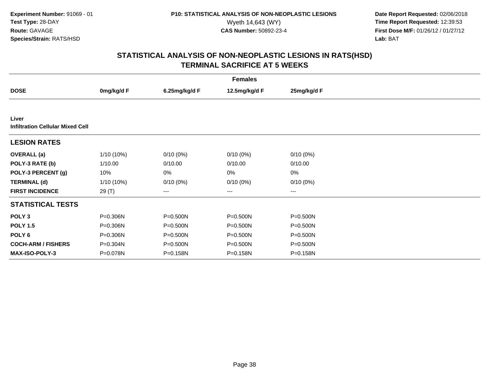**Date Report Requested:** 02/06/2018 Wyeth 14,643 (WY) **Time Report Requested:** 12:39:53<br>**CAS Number:** 50892-23-4 **Time Report Requested:** 12:39:53 **First Dose M/F:** 01/26/12 / 01/27/12<br>**Lab:** BAT **Lab:** BAT

| <b>Females</b>                                   |              |               |               |             |  |  |  |
|--------------------------------------------------|--------------|---------------|---------------|-------------|--|--|--|
| <b>DOSE</b>                                      | 0mg/kg/d F   | 6.25mg/kg/d F | 12.5mg/kg/d F | 25mg/kg/d F |  |  |  |
|                                                  |              |               |               |             |  |  |  |
| Liver<br><b>Infiltration Cellular Mixed Cell</b> |              |               |               |             |  |  |  |
| <b>LESION RATES</b>                              |              |               |               |             |  |  |  |
| <b>OVERALL</b> (a)                               | 1/10 (10%)   | $0/10(0\%)$   | $0/10(0\%)$   | $0/10(0\%)$ |  |  |  |
| POLY-3 RATE (b)                                  | 1/10.00      | 0/10.00       | 0/10.00       | 0/10.00     |  |  |  |
| POLY-3 PERCENT (g)                               | 10%          | 0%            | 0%            | 0%          |  |  |  |
| <b>TERMINAL (d)</b>                              | $1/10(10\%)$ | $0/10(0\%)$   | $0/10(0\%)$   | $0/10(0\%)$ |  |  |  |
| <b>FIRST INCIDENCE</b>                           | 29 (T)       | ---           | $\cdots$      | ---         |  |  |  |
| <b>STATISTICAL TESTS</b>                         |              |               |               |             |  |  |  |
| POLY <sub>3</sub>                                | P=0.306N     | P=0.500N      | P=0.500N      | P=0.500N    |  |  |  |
| <b>POLY 1.5</b>                                  | P=0.306N     | P=0.500N      | P=0.500N      | P=0.500N    |  |  |  |
| POLY <sub>6</sub>                                | P=0.306N     | P=0.500N      | P=0.500N      | P=0.500N    |  |  |  |
| <b>COCH-ARM / FISHERS</b>                        | P=0.304N     | P=0.500N      | P=0.500N      | P=0.500N    |  |  |  |
| <b>MAX-ISO-POLY-3</b>                            | P=0.078N     | P=0.158N      | P=0.158N      | P=0.158N    |  |  |  |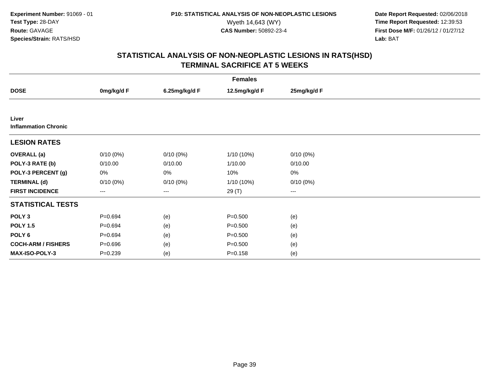**Date Report Requested:** 02/06/2018 Wyeth 14,643 (WY) **Time Report Requested:** 12:39:53<br>**CAS Number:** 50892-23-4 **Time Report Requested:** 12:39:53 **First Dose M/F:** 01/26/12 / 01/27/12<br>**Lab:** BAT **Lab:** BAT

| <b>Females</b>                       |             |               |               |             |  |  |  |
|--------------------------------------|-------------|---------------|---------------|-------------|--|--|--|
| <b>DOSE</b>                          | 0mg/kg/d F  | 6.25mg/kg/d F | 12.5mg/kg/d F | 25mg/kg/d F |  |  |  |
|                                      |             |               |               |             |  |  |  |
| Liver<br><b>Inflammation Chronic</b> |             |               |               |             |  |  |  |
| <b>LESION RATES</b>                  |             |               |               |             |  |  |  |
| <b>OVERALL</b> (a)                   | $0/10(0\%)$ | $0/10(0\%)$   | 1/10 (10%)    | $0/10(0\%)$ |  |  |  |
| POLY-3 RATE (b)                      | 0/10.00     | 0/10.00       | 1/10.00       | 0/10.00     |  |  |  |
| POLY-3 PERCENT (g)                   | $0\%$       | 0%            | 10%           | 0%          |  |  |  |
| <b>TERMINAL (d)</b>                  | $0/10(0\%)$ | $0/10(0\%)$   | 1/10 (10%)    | 0/10(0%)    |  |  |  |
| <b>FIRST INCIDENCE</b>               | $---$       | ---           | 29 (T)        | $--$        |  |  |  |
| <b>STATISTICAL TESTS</b>             |             |               |               |             |  |  |  |
| POLY <sub>3</sub>                    | $P = 0.694$ | (e)           | $P = 0.500$   | (e)         |  |  |  |
| <b>POLY 1.5</b>                      | $P = 0.694$ | (e)           | $P = 0.500$   | (e)         |  |  |  |
| POLY 6                               | $P = 0.694$ | (e)           | $P = 0.500$   | (e)         |  |  |  |
| <b>COCH-ARM / FISHERS</b>            | $P = 0.696$ | (e)           | $P = 0.500$   | (e)         |  |  |  |
| MAX-ISO-POLY-3                       | $P = 0.239$ | (e)           | $P = 0.158$   | (e)         |  |  |  |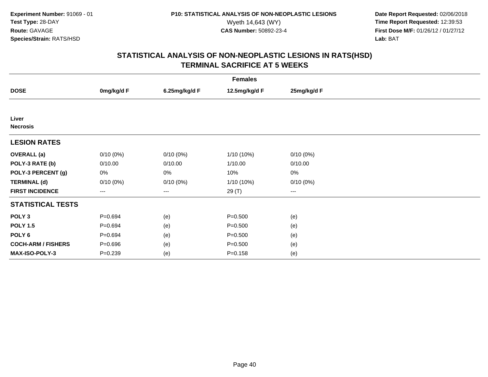**Date Report Requested:** 02/06/2018 Wyeth 14,643 (WY) **Time Report Requested:** 12:39:53<br>**CAS Number:** 50892-23-4 **Time Report Requested:** 12:39:53 **First Dose M/F:** 01/26/12 / 01/27/12<br>**Lab:** BAT **Lab:** BAT

| <b>Females</b>            |                        |               |               |             |  |  |  |
|---------------------------|------------------------|---------------|---------------|-------------|--|--|--|
| <b>DOSE</b>               | 0mg/kg/d F             | 6.25mg/kg/d F | 12.5mg/kg/d F | 25mg/kg/d F |  |  |  |
|                           |                        |               |               |             |  |  |  |
| Liver<br><b>Necrosis</b>  |                        |               |               |             |  |  |  |
| <b>LESION RATES</b>       |                        |               |               |             |  |  |  |
| <b>OVERALL</b> (a)        | $0/10(0\%)$            | $0/10(0\%)$   | 1/10 (10%)    | $0/10(0\%)$ |  |  |  |
| POLY-3 RATE (b)           | 0/10.00                | 0/10.00       | 1/10.00       | 0/10.00     |  |  |  |
| POLY-3 PERCENT (g)        | $0\%$                  | 0%            | 10%           | 0%          |  |  |  |
| <b>TERMINAL (d)</b>       | $0/10(0\%)$            | $0/10(0\%)$   | 1/10 (10%)    | $0/10(0\%)$ |  |  |  |
| <b>FIRST INCIDENCE</b>    | $\qquad \qquad \cdots$ | $---$         | 29 (T)        | $--$        |  |  |  |
| <b>STATISTICAL TESTS</b>  |                        |               |               |             |  |  |  |
| POLY <sub>3</sub>         | $P = 0.694$            | (e)           | $P = 0.500$   | (e)         |  |  |  |
| <b>POLY 1.5</b>           | $P = 0.694$            | (e)           | $P = 0.500$   | (e)         |  |  |  |
| POLY 6                    | $P = 0.694$            | (e)           | $P = 0.500$   | (e)         |  |  |  |
| <b>COCH-ARM / FISHERS</b> | $P = 0.696$            | (e)           | $P = 0.500$   | (e)         |  |  |  |
| MAX-ISO-POLY-3            | $P = 0.239$            | (e)           | $P = 0.158$   | (e)         |  |  |  |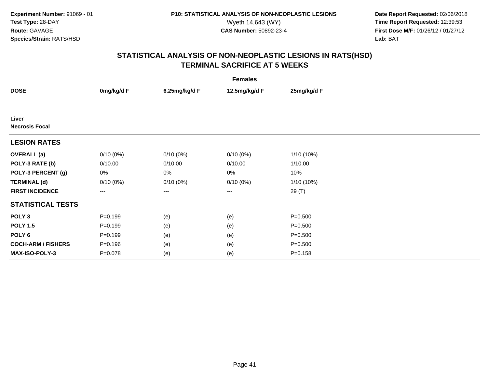**Date Report Requested:** 02/06/2018 Wyeth 14,643 (WY) **Time Report Requested:** 12:39:53<br>**CAS Number:** 50892-23-4 **Time Report Requested:** 12:39:53 **First Dose M/F:** 01/26/12 / 01/27/12<br>**Lab:** BAT **Lab:** BAT

| <b>Females</b>                 |             |               |                   |              |  |  |
|--------------------------------|-------------|---------------|-------------------|--------------|--|--|
| <b>DOSE</b>                    | 0mg/kg/d F  | 6.25mg/kg/d F | 12.5mg/kg/d F     | 25mg/kg/d F  |  |  |
|                                |             |               |                   |              |  |  |
| Liver<br><b>Necrosis Focal</b> |             |               |                   |              |  |  |
| <b>LESION RATES</b>            |             |               |                   |              |  |  |
| <b>OVERALL</b> (a)             | $0/10(0\%)$ | $0/10(0\%)$   | $0/10(0\%)$       | $1/10(10\%)$ |  |  |
| POLY-3 RATE (b)                | 0/10.00     | 0/10.00       | 0/10.00           | 1/10.00      |  |  |
| POLY-3 PERCENT (g)             | 0%          | 0%            | 0%                | 10%          |  |  |
| <b>TERMINAL (d)</b>            | $0/10(0\%)$ | $0/10(0\%)$   | $0/10(0\%)$       | 1/10 (10%)   |  |  |
| <b>FIRST INCIDENCE</b>         | ---         | ---           | $\qquad \qquad -$ | 29 (T)       |  |  |
| <b>STATISTICAL TESTS</b>       |             |               |                   |              |  |  |
| POLY <sub>3</sub>              | $P=0.199$   | (e)           | (e)               | $P = 0.500$  |  |  |
| <b>POLY 1.5</b>                | $P=0.199$   | (e)           | (e)               | $P = 0.500$  |  |  |
| POLY 6                         | $P = 0.199$ | (e)           | (e)               | $P = 0.500$  |  |  |
| <b>COCH-ARM / FISHERS</b>      | $P = 0.196$ | (e)           | (e)               | $P = 0.500$  |  |  |
| MAX-ISO-POLY-3                 | $P = 0.078$ | (e)           | (e)               | $P = 0.158$  |  |  |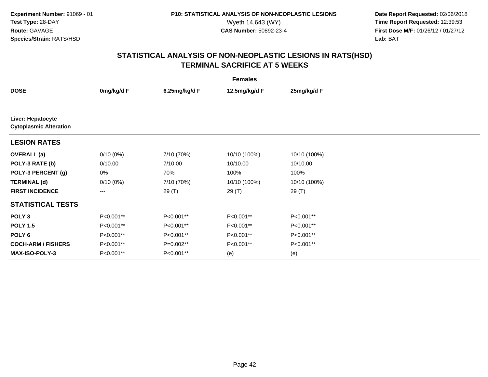**Date Report Requested:** 02/06/2018 Wyeth 14,643 (WY) **Time Report Requested:** 12:39:53<br>**CAS Number:** 50892-23-4 **Time Report Requested:** 12:39:53 **First Dose M/F:** 01/26/12 / 01/27/12<br>**Lab:** BAT **Lab:** BAT

| <b>Females</b>                                     |             |               |               |              |  |  |
|----------------------------------------------------|-------------|---------------|---------------|--------------|--|--|
| <b>DOSE</b>                                        | 0mg/kg/d F  | 6.25mg/kg/d F | 12.5mg/kg/d F | 25mg/kg/d F  |  |  |
|                                                    |             |               |               |              |  |  |
| Liver: Hepatocyte<br><b>Cytoplasmic Alteration</b> |             |               |               |              |  |  |
| <b>LESION RATES</b>                                |             |               |               |              |  |  |
| <b>OVERALL</b> (a)                                 | $0/10(0\%)$ | 7/10 (70%)    | 10/10 (100%)  | 10/10 (100%) |  |  |
| POLY-3 RATE (b)                                    | 0/10.00     | 7/10.00       | 10/10.00      | 10/10.00     |  |  |
| POLY-3 PERCENT (g)                                 | 0%          | 70%           | 100%          | 100%         |  |  |
| <b>TERMINAL (d)</b>                                | $0/10(0\%)$ | 7/10 (70%)    | 10/10 (100%)  | 10/10 (100%) |  |  |
| <b>FIRST INCIDENCE</b>                             | $---$       | 29 (T)        | 29 (T)        | 29(T)        |  |  |
| <b>STATISTICAL TESTS</b>                           |             |               |               |              |  |  |
| POLY <sub>3</sub>                                  | P<0.001**   | P<0.001**     | P<0.001**     | P<0.001**    |  |  |
| <b>POLY 1.5</b>                                    | P<0.001**   | P<0.001**     | P<0.001**     | P<0.001**    |  |  |
| POLY 6                                             | P<0.001**   | P<0.001**     | P<0.001**     | P<0.001**    |  |  |
| <b>COCH-ARM / FISHERS</b>                          | P<0.001**   | P=0.002**     | P<0.001**     | P<0.001**    |  |  |
| MAX-ISO-POLY-3                                     | P<0.001**   | P<0.001**     | (e)           | (e)          |  |  |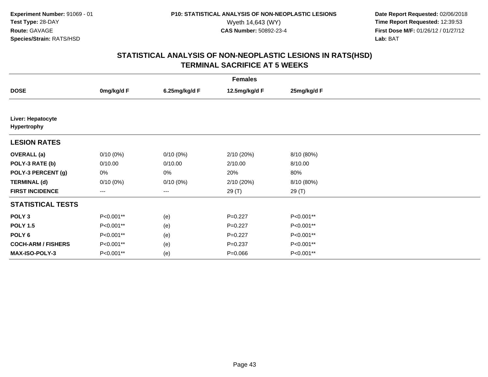**Date Report Requested:** 02/06/2018 Wyeth 14,643 (WY) **Time Report Requested:** 12:39:53<br>**CAS Number:** 50892-23-4 **Time Report Requested:** 12:39:53 **First Dose M/F:** 01/26/12 / 01/27/12<br>**Lab:** BAT **Lab:** BAT

| <b>Females</b>                          |             |               |               |             |  |  |  |
|-----------------------------------------|-------------|---------------|---------------|-------------|--|--|--|
| <b>DOSE</b>                             | 0mg/kg/d F  | 6.25mg/kg/d F | 12.5mg/kg/d F | 25mg/kg/d F |  |  |  |
|                                         |             |               |               |             |  |  |  |
| Liver: Hepatocyte<br><b>Hypertrophy</b> |             |               |               |             |  |  |  |
| <b>LESION RATES</b>                     |             |               |               |             |  |  |  |
| <b>OVERALL</b> (a)                      | $0/10(0\%)$ | $0/10(0\%)$   | 2/10 (20%)    | 8/10 (80%)  |  |  |  |
| POLY-3 RATE (b)                         | 0/10.00     | 0/10.00       | 2/10.00       | 8/10.00     |  |  |  |
| POLY-3 PERCENT (g)                      | $0\%$       | 0%            | 20%           | 80%         |  |  |  |
| <b>TERMINAL (d)</b>                     | $0/10(0\%)$ | $0/10(0\%)$   | 2/10 (20%)    | 8/10 (80%)  |  |  |  |
| <b>FIRST INCIDENCE</b>                  | $---$       | ---           | 29 (T)        | 29(T)       |  |  |  |
| <b>STATISTICAL TESTS</b>                |             |               |               |             |  |  |  |
| POLY <sub>3</sub>                       | P<0.001**   | (e)           | $P=0.227$     | P<0.001**   |  |  |  |
| <b>POLY 1.5</b>                         | P<0.001**   | (e)           | $P=0.227$     | P<0.001**   |  |  |  |
| POLY 6                                  | P<0.001**   | (e)           | $P=0.227$     | P<0.001**   |  |  |  |
| <b>COCH-ARM / FISHERS</b>               | P<0.001**   | (e)           | $P = 0.237$   | P<0.001**   |  |  |  |
| MAX-ISO-POLY-3                          | P<0.001**   | (e)           | $P = 0.066$   | P<0.001**   |  |  |  |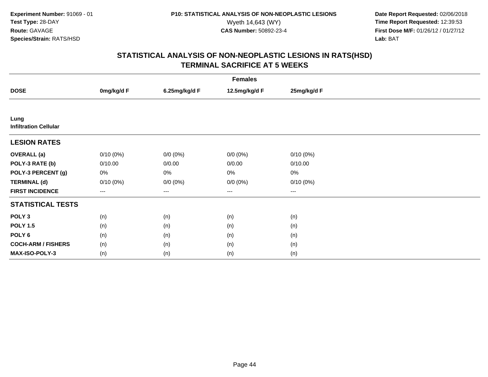**Date Report Requested:** 02/06/2018 Wyeth 14,643 (WY) **Time Report Requested:** 12:39:53<br>**CAS Number:** 50892-23-4 **Time Report Requested:** 12:39:53 **First Dose M/F:** 01/26/12 / 01/27/12<br>**Lab:** BAT **Lab:** BAT

| <b>Females</b>                       |             |               |               |             |  |  |
|--------------------------------------|-------------|---------------|---------------|-------------|--|--|
| <b>DOSE</b>                          | 0mg/kg/d F  | 6.25mg/kg/d F | 12.5mg/kg/d F | 25mg/kg/d F |  |  |
|                                      |             |               |               |             |  |  |
| Lung<br><b>Infiltration Cellular</b> |             |               |               |             |  |  |
| <b>LESION RATES</b>                  |             |               |               |             |  |  |
| <b>OVERALL</b> (a)                   | $0/10(0\%)$ | $0/0 (0\%)$   | $0/0 (0\%)$   | $0/10(0\%)$ |  |  |
| POLY-3 RATE (b)                      | 0/10.00     | 0/0.00        | 0/0.00        | 0/10.00     |  |  |
| POLY-3 PERCENT (g)                   | 0%          | 0%            | 0%            | $0\%$       |  |  |
| <b>TERMINAL (d)</b>                  | $0/10(0\%)$ | $0/0 (0\%)$   | $0/0 (0\%)$   | 0/10(0%)    |  |  |
| <b>FIRST INCIDENCE</b>               | ---         | ---           | $--$          | $---$       |  |  |
| <b>STATISTICAL TESTS</b>             |             |               |               |             |  |  |
| POLY <sub>3</sub>                    | (n)         | (n)           | (n)           | (n)         |  |  |
| <b>POLY 1.5</b>                      | (n)         | (n)           | (n)           | (n)         |  |  |
| POLY 6                               | (n)         | (n)           | (n)           | (n)         |  |  |
| <b>COCH-ARM / FISHERS</b>            | (n)         | (n)           | (n)           | (n)         |  |  |
| MAX-ISO-POLY-3                       | (n)         | (n)           | (n)           | (n)         |  |  |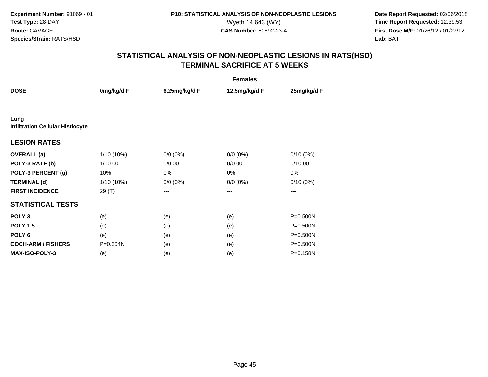**Date Report Requested:** 02/06/2018 Wyeth 14,643 (WY) **Time Report Requested:** 12:39:53<br>**CAS Number:** 50892-23-4 **Time Report Requested:** 12:39:53 **First Dose M/F:** 01/26/12 / 01/27/12<br>**Lab:** BAT **Lab:** BAT

| <b>Females</b>                                  |              |               |                   |                   |  |  |
|-------------------------------------------------|--------------|---------------|-------------------|-------------------|--|--|
| <b>DOSE</b>                                     | 0mg/kg/d F   | 6.25mg/kg/d F | 12.5mg/kg/d F     | 25mg/kg/d F       |  |  |
|                                                 |              |               |                   |                   |  |  |
| Lung<br><b>Infiltration Cellular Histiocyte</b> |              |               |                   |                   |  |  |
| <b>LESION RATES</b>                             |              |               |                   |                   |  |  |
| <b>OVERALL</b> (a)                              | 1/10 (10%)   | $0/0 (0\%)$   | $0/0 (0\%)$       | $0/10(0\%)$       |  |  |
| POLY-3 RATE (b)                                 | 1/10.00      | 0/0.00        | 0/0.00            | 0/10.00           |  |  |
| POLY-3 PERCENT (g)                              | 10%          | 0%            | 0%                | $0\%$             |  |  |
| <b>TERMINAL (d)</b>                             | $1/10(10\%)$ | $0/0 (0\%)$   | $0/0 (0\%)$       | 0/10(0%)          |  |  |
| <b>FIRST INCIDENCE</b>                          | 29 (T)       | ---           | $\qquad \qquad -$ | $\qquad \qquad -$ |  |  |
| <b>STATISTICAL TESTS</b>                        |              |               |                   |                   |  |  |
| POLY <sub>3</sub>                               | (e)          | (e)           | (e)               | P=0.500N          |  |  |
| <b>POLY 1.5</b>                                 | (e)          | (e)           | (e)               | $P = 0.500N$      |  |  |
| POLY 6                                          | (e)          | (e)           | (e)               | P=0.500N          |  |  |
| <b>COCH-ARM / FISHERS</b>                       | P=0.304N     | (e)           | (e)               | P=0.500N          |  |  |
| MAX-ISO-POLY-3                                  | (e)          | (e)           | (e)               | P=0.158N          |  |  |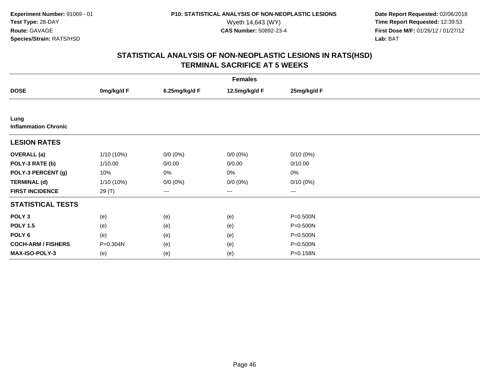**Date Report Requested:** 02/06/2018 Wyeth 14,643 (WY) **Time Report Requested:** 12:39:53<br>**CAS Number:** 50892-23-4 **Time Report Requested:** 12:39:53 **First Dose M/F:** 01/26/12 / 01/27/12<br>**Lab:** BAT **Lab:** BAT

| <b>Females</b>                      |              |               |               |              |  |  |
|-------------------------------------|--------------|---------------|---------------|--------------|--|--|
| <b>DOSE</b>                         | 0mg/kg/d F   | 6.25mg/kg/d F | 12.5mg/kg/d F | 25mg/kg/d F  |  |  |
|                                     |              |               |               |              |  |  |
| Lung<br><b>Inflammation Chronic</b> |              |               |               |              |  |  |
| <b>LESION RATES</b>                 |              |               |               |              |  |  |
| <b>OVERALL</b> (a)                  | 1/10 (10%)   | $0/0 (0\%)$   | $0/0 (0\%)$   | $0/10(0\%)$  |  |  |
| POLY-3 RATE (b)                     | 1/10.00      | 0/0.00        | 0/0.00        | 0/10.00      |  |  |
| POLY-3 PERCENT (g)                  | 10%          | 0%            | 0%            | 0%           |  |  |
| <b>TERMINAL (d)</b>                 | $1/10(10\%)$ | $0/0 (0\%)$   | $0/0 (0\%)$   | 0/10(0%)     |  |  |
| <b>FIRST INCIDENCE</b>              | 29 (T)       | ---           | $--$          | ---          |  |  |
| <b>STATISTICAL TESTS</b>            |              |               |               |              |  |  |
| POLY <sub>3</sub>                   | (e)          | (e)           | (e)           | P=0.500N     |  |  |
| <b>POLY 1.5</b>                     | (e)          | (e)           | (e)           | $P = 0.500N$ |  |  |
| POLY 6                              | (e)          | (e)           | (e)           | $P = 0.500N$ |  |  |
| <b>COCH-ARM / FISHERS</b>           | P=0.304N     | (e)           | (e)           | P=0.500N     |  |  |
| MAX-ISO-POLY-3                      | (e)          | (e)           | (e)           | P=0.158N     |  |  |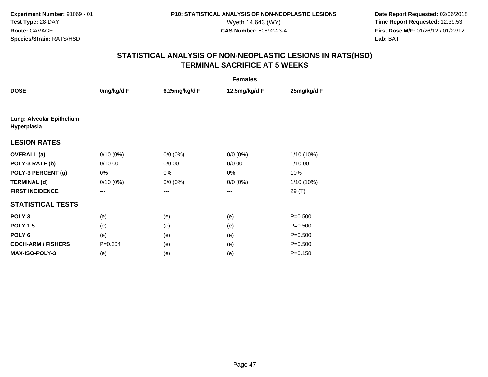**Date Report Requested:** 02/06/2018 Wyeth 14,643 (WY) **Time Report Requested:** 12:39:53<br>**CAS Number:** 50892-23-4 **Time Report Requested:** 12:39:53 **First Dose M/F:** 01/26/12 / 01/27/12<br>**Lab:** BAT **Lab:** BAT

| <b>Females</b>                           |             |               |               |             |  |  |
|------------------------------------------|-------------|---------------|---------------|-------------|--|--|
| <b>DOSE</b>                              | 0mg/kg/d F  | 6.25mg/kg/d F | 12.5mg/kg/d F | 25mg/kg/d F |  |  |
|                                          |             |               |               |             |  |  |
| Lung: Alveolar Epithelium<br>Hyperplasia |             |               |               |             |  |  |
| <b>LESION RATES</b>                      |             |               |               |             |  |  |
| <b>OVERALL</b> (a)                       | $0/10(0\%)$ | $0/0 (0\%)$   | $0/0 (0\%)$   | 1/10 (10%)  |  |  |
| POLY-3 RATE (b)                          | 0/10.00     | 0/0.00        | 0/0.00        | 1/10.00     |  |  |
| POLY-3 PERCENT (g)                       | 0%          | 0%            | 0%            | 10%         |  |  |
| <b>TERMINAL (d)</b>                      | $0/10(0\%)$ | $0/0 (0\%)$   | $0/0 (0\%)$   | 1/10 (10%)  |  |  |
| <b>FIRST INCIDENCE</b>                   | $---$       | $\cdots$      | $\cdots$      | 29 (T)      |  |  |
| <b>STATISTICAL TESTS</b>                 |             |               |               |             |  |  |
| POLY <sub>3</sub>                        | (e)         | (e)           | (e)           | $P = 0.500$ |  |  |
| <b>POLY 1.5</b>                          | (e)         | (e)           | (e)           | $P = 0.500$ |  |  |
| POLY <sub>6</sub>                        | (e)         | (e)           | (e)           | $P = 0.500$ |  |  |
| <b>COCH-ARM / FISHERS</b>                | $P = 0.304$ | (e)           | (e)           | $P = 0.500$ |  |  |
| <b>MAX-ISO-POLY-3</b>                    | (e)         | (e)           | (e)           | $P = 0.158$ |  |  |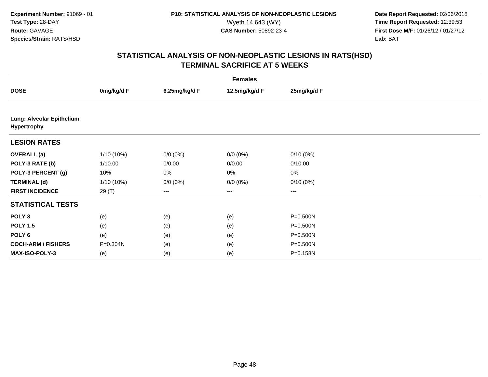**Date Report Requested:** 02/06/2018 Wyeth 14,643 (WY) **Time Report Requested:** 12:39:53<br>**CAS Number:** 50892-23-4 **Time Report Requested:** 12:39:53 **First Dose M/F:** 01/26/12 / 01/27/12<br>**Lab:** BAT **Lab:** BAT

| <b>Females</b>                           |            |               |                      |             |  |  |  |
|------------------------------------------|------------|---------------|----------------------|-------------|--|--|--|
| <b>DOSE</b>                              | 0mg/kg/d F | 6.25mg/kg/d F | 12.5mg/kg/d F        | 25mg/kg/d F |  |  |  |
|                                          |            |               |                      |             |  |  |  |
| Lung: Alveolar Epithelium<br>Hypertrophy |            |               |                      |             |  |  |  |
| <b>LESION RATES</b>                      |            |               |                      |             |  |  |  |
| <b>OVERALL</b> (a)                       | 1/10 (10%) | $0/0 (0\%)$   | $0/0 (0\%)$          | $0/10(0\%)$ |  |  |  |
| POLY-3 RATE (b)                          | 1/10.00    | 0/0.00        | 0/0.00               | 0/10.00     |  |  |  |
| POLY-3 PERCENT (g)                       | 10%        | 0%            | 0%                   | $0\%$       |  |  |  |
| <b>TERMINAL (d)</b>                      | 1/10 (10%) | $0/0 (0\%)$   | $0/0 (0\%)$          | $0/10(0\%)$ |  |  |  |
| <b>FIRST INCIDENCE</b>                   | 29 (T)     | $---$         | $\scriptstyle\cdots$ | $\cdots$    |  |  |  |
| <b>STATISTICAL TESTS</b>                 |            |               |                      |             |  |  |  |
| POLY <sub>3</sub>                        | (e)        | (e)           | (e)                  | P=0.500N    |  |  |  |
| <b>POLY 1.5</b>                          | (e)        | (e)           | (e)                  | P=0.500N    |  |  |  |
| POLY 6                                   | (e)        | (e)           | (e)                  | P=0.500N    |  |  |  |
| <b>COCH-ARM / FISHERS</b>                | P=0.304N   | (e)           | (e)                  | P=0.500N    |  |  |  |
| <b>MAX-ISO-POLY-3</b>                    | (e)        | (e)           | (e)                  | P=0.158N    |  |  |  |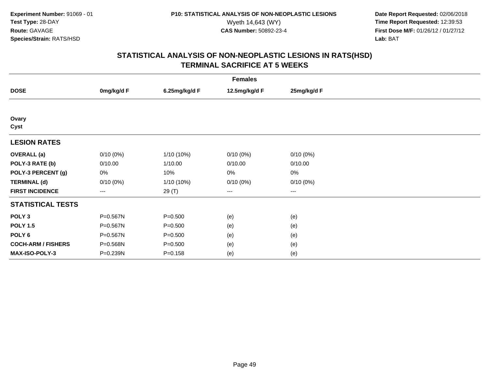**Date Report Requested:** 02/06/2018 Wyeth 14,643 (WY) **Time Report Requested:** 12:39:53<br>**CAS Number:** 50892-23-4 **Time Report Requested:** 12:39:53 **First Dose M/F:** 01/26/12 / 01/27/12<br>**Lab:** BAT **Lab:** BAT

| <b>Females</b>            |             |               |               |             |  |  |  |
|---------------------------|-------------|---------------|---------------|-------------|--|--|--|
| <b>DOSE</b>               | 0mg/kg/d F  | 6.25mg/kg/d F | 12.5mg/kg/d F | 25mg/kg/d F |  |  |  |
|                           |             |               |               |             |  |  |  |
| Ovary<br>Cyst             |             |               |               |             |  |  |  |
| <b>LESION RATES</b>       |             |               |               |             |  |  |  |
| <b>OVERALL</b> (a)        | $0/10(0\%)$ | $1/10(10\%)$  | $0/10(0\%)$   | $0/10(0\%)$ |  |  |  |
| POLY-3 RATE (b)           | 0/10.00     | 1/10.00       | 0/10.00       | 0/10.00     |  |  |  |
| POLY-3 PERCENT (g)        | $0\%$       | 10%           | 0%            | 0%          |  |  |  |
| <b>TERMINAL (d)</b>       | $0/10(0\%)$ | $1/10(10\%)$  | $0/10(0\%)$   | 0/10(0%)    |  |  |  |
| <b>FIRST INCIDENCE</b>    | $---$       | 29 (T)        | ---           | $--$        |  |  |  |
| <b>STATISTICAL TESTS</b>  |             |               |               |             |  |  |  |
| POLY <sub>3</sub>         | P=0.567N    | $P = 0.500$   | (e)           | (e)         |  |  |  |
| <b>POLY 1.5</b>           | P=0.567N    | $P = 0.500$   | (e)           | (e)         |  |  |  |
| POLY 6                    | P=0.567N    | $P = 0.500$   | (e)           | (e)         |  |  |  |
| <b>COCH-ARM / FISHERS</b> | P=0.568N    | $P = 0.500$   | (e)           | (e)         |  |  |  |
| MAX-ISO-POLY-3            | P=0.239N    | $P = 0.158$   | (e)           | (e)         |  |  |  |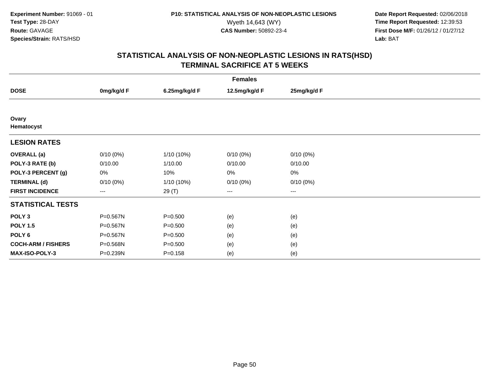**Date Report Requested:** 02/06/2018 Wyeth 14,643 (WY) **Time Report Requested:** 12:39:53<br>**CAS Number:** 50892-23-4 **Time Report Requested:** 12:39:53 **First Dose M/F:** 01/26/12 / 01/27/12<br>**Lab:** BAT **Lab:** BAT

| <b>Females</b>            |             |               |               |             |  |
|---------------------------|-------------|---------------|---------------|-------------|--|
| <b>DOSE</b>               | 0mg/kg/d F  | 6.25mg/kg/d F | 12.5mg/kg/d F | 25mg/kg/d F |  |
|                           |             |               |               |             |  |
| Ovary<br>Hematocyst       |             |               |               |             |  |
| <b>LESION RATES</b>       |             |               |               |             |  |
| <b>OVERALL</b> (a)        | $0/10(0\%)$ | 1/10 (10%)    | $0/10(0\%)$   | $0/10(0\%)$ |  |
| POLY-3 RATE (b)           | 0/10.00     | 1/10.00       | 0/10.00       | 0/10.00     |  |
| POLY-3 PERCENT (g)        | 0%          | 10%           | 0%            | 0%          |  |
| <b>TERMINAL (d)</b>       | 0/10(0%)    | 1/10 (10%)    | $0/10(0\%)$   | 0/10(0%)    |  |
| <b>FIRST INCIDENCE</b>    | $--$        | 29 (T)        | ---           | $---$       |  |
| <b>STATISTICAL TESTS</b>  |             |               |               |             |  |
| POLY <sub>3</sub>         | P=0.567N    | $P = 0.500$   | (e)           | (e)         |  |
| <b>POLY 1.5</b>           | P=0.567N    | $P = 0.500$   | (e)           | (e)         |  |
| POLY <sub>6</sub>         | P=0.567N    | $P = 0.500$   | (e)           | (e)         |  |
| <b>COCH-ARM / FISHERS</b> | P=0.568N    | $P = 0.500$   | (e)           | (e)         |  |
| MAX-ISO-POLY-3            | P=0.239N    | $P = 0.158$   | (e)           | (e)         |  |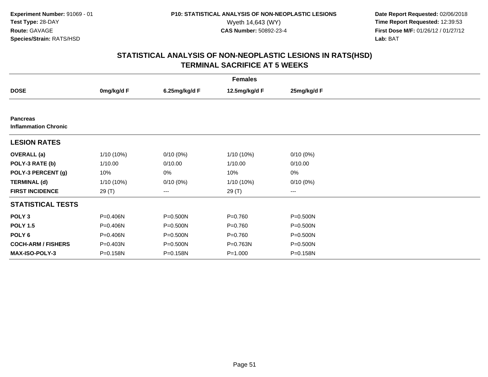**Date Report Requested:** 02/06/2018 Wyeth 14,643 (WY) **Time Report Requested:** 12:39:53<br>**CAS Number:** 50892-23-4 **Time Report Requested:** 12:39:53 **First Dose M/F:** 01/26/12 / 01/27/12<br>**Lab:** BAT **Lab:** BAT

| <b>Females</b>                                 |              |               |               |                        |  |
|------------------------------------------------|--------------|---------------|---------------|------------------------|--|
| <b>DOSE</b>                                    | 0mg/kg/d F   | 6.25mg/kg/d F | 12.5mg/kg/d F | 25mg/kg/d F            |  |
|                                                |              |               |               |                        |  |
| <b>Pancreas</b><br><b>Inflammation Chronic</b> |              |               |               |                        |  |
| <b>LESION RATES</b>                            |              |               |               |                        |  |
| <b>OVERALL</b> (a)                             | 1/10 (10%)   | $0/10(0\%)$   | 1/10 (10%)    | $0/10(0\%)$            |  |
| POLY-3 RATE (b)                                | 1/10.00      | 0/10.00       | 1/10.00       | 0/10.00                |  |
| POLY-3 PERCENT (g)                             | 10%          | 0%            | 10%           | 0%                     |  |
| <b>TERMINAL (d)</b>                            | $1/10(10\%)$ | $0/10(0\%)$   | $1/10(10\%)$  | $0/10(0\%)$            |  |
| <b>FIRST INCIDENCE</b>                         | 29 (T)       | ---           | 29 (T)        | $\qquad \qquad \cdots$ |  |
| <b>STATISTICAL TESTS</b>                       |              |               |               |                        |  |
| POLY <sub>3</sub>                              | P=0.406N     | P=0.500N      | $P = 0.760$   | P=0.500N               |  |
| <b>POLY 1.5</b>                                | P=0.406N     | P=0.500N      | $P = 0.760$   | P=0.500N               |  |
| POLY <sub>6</sub>                              | P=0.406N     | P=0.500N      | $P = 0.760$   | P=0.500N               |  |
| <b>COCH-ARM / FISHERS</b>                      | P=0.403N     | P=0.500N      | P=0.763N      | P=0.500N               |  |
| <b>MAX-ISO-POLY-3</b>                          | P=0.158N     | P=0.158N      | $P = 1.000$   | P=0.158N               |  |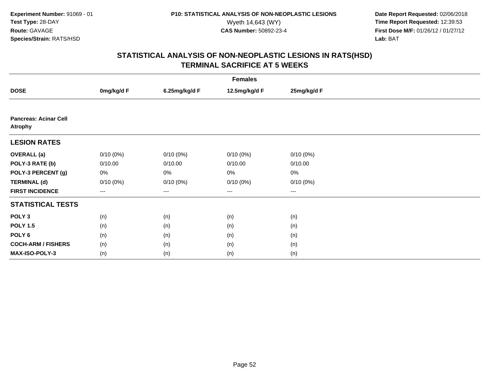**Date Report Requested:** 02/06/2018 Wyeth 14,643 (WY) **Time Report Requested:** 12:39:53<br>**CAS Number:** 50892-23-4 **Time Report Requested:** 12:39:53 **First Dose M/F:** 01/26/12 / 01/27/12<br>**Lab:** BAT **Lab:** BAT

| <b>Females</b>                                 |             |               |                   |             |  |
|------------------------------------------------|-------------|---------------|-------------------|-------------|--|
| <b>DOSE</b>                                    | 0mg/kg/d F  | 6.25mg/kg/d F | 12.5mg/kg/d F     | 25mg/kg/d F |  |
|                                                |             |               |                   |             |  |
| <b>Pancreas: Acinar Cell</b><br><b>Atrophy</b> |             |               |                   |             |  |
| <b>LESION RATES</b>                            |             |               |                   |             |  |
| <b>OVERALL</b> (a)                             | $0/10(0\%)$ | $0/10(0\%)$   | $0/10(0\%)$       | $0/10(0\%)$ |  |
| POLY-3 RATE (b)                                | 0/10.00     | 0/10.00       | 0/10.00           | 0/10.00     |  |
| POLY-3 PERCENT (g)                             | 0%          | 0%            | 0%                | $0\%$       |  |
| <b>TERMINAL (d)</b>                            | $0/10(0\%)$ | $0/10(0\%)$   | $0/10(0\%)$       | 0/10(0%)    |  |
| <b>FIRST INCIDENCE</b>                         | ---         | ---           | $\qquad \qquad -$ | $---$       |  |
| <b>STATISTICAL TESTS</b>                       |             |               |                   |             |  |
| POLY <sub>3</sub>                              | (n)         | (n)           | (n)               | (n)         |  |
| <b>POLY 1.5</b>                                | (n)         | (n)           | (n)               | (n)         |  |
| POLY 6                                         | (n)         | (n)           | (n)               | (n)         |  |
| <b>COCH-ARM / FISHERS</b>                      | (n)         | (n)           | (n)               | (n)         |  |
| MAX-ISO-POLY-3                                 | (n)         | (n)           | (n)               | (n)         |  |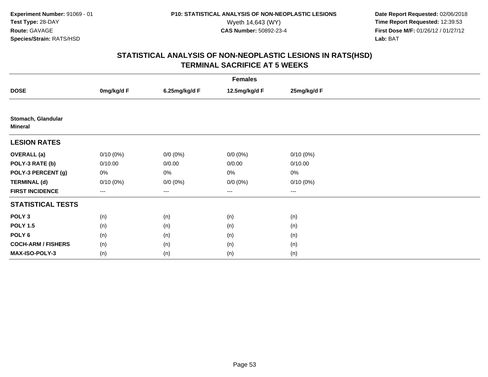**Date Report Requested:** 02/06/2018 Wyeth 14,643 (WY) **Time Report Requested:** 12:39:53<br>**CAS Number:** 50892-23-4 **Time Report Requested:** 12:39:53 **First Dose M/F:** 01/26/12 / 01/27/12<br>**Lab:** BAT **Lab:** BAT

| <b>Females</b>                       |                        |               |               |                   |  |
|--------------------------------------|------------------------|---------------|---------------|-------------------|--|
| <b>DOSE</b>                          | 0mg/kg/d F             | 6.25mg/kg/d F | 12.5mg/kg/d F | 25mg/kg/d F       |  |
|                                      |                        |               |               |                   |  |
| Stomach, Glandular<br><b>Mineral</b> |                        |               |               |                   |  |
| <b>LESION RATES</b>                  |                        |               |               |                   |  |
| <b>OVERALL</b> (a)                   | $0/10(0\%)$            | $0/0 (0\%)$   | $0/0 (0\%)$   | $0/10(0\%)$       |  |
| POLY-3 RATE (b)                      | 0/10.00                | 0/0.00        | 0/0.00        | 0/10.00           |  |
| POLY-3 PERCENT (g)                   | 0%                     | 0%            | 0%            | 0%                |  |
| <b>TERMINAL (d)</b>                  | 0/10(0%)               | $0/0 (0\%)$   | $0/0 (0\%)$   | $0/10(0\%)$       |  |
| <b>FIRST INCIDENCE</b>               | $\qquad \qquad \cdots$ | $---$         | $---$         | $\qquad \qquad -$ |  |
| <b>STATISTICAL TESTS</b>             |                        |               |               |                   |  |
| POLY <sub>3</sub>                    | (n)                    | (n)           | (n)           | (n)               |  |
| <b>POLY 1.5</b>                      | (n)                    | (n)           | (n)           | (n)               |  |
| POLY 6                               | (n)                    | (n)           | (n)           | (n)               |  |
| <b>COCH-ARM / FISHERS</b>            | (n)                    | (n)           | (n)           | (n)               |  |
| MAX-ISO-POLY-3                       | (n)                    | (n)           | (n)           | (n)               |  |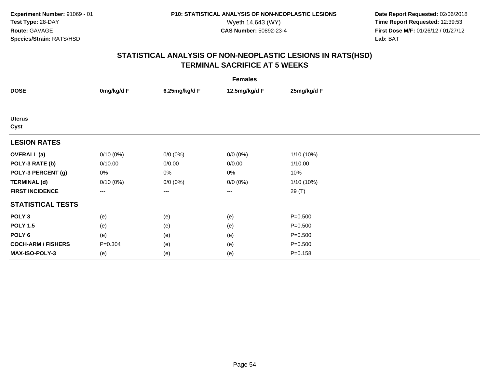**Date Report Requested:** 02/06/2018 Wyeth 14,643 (WY) **Time Report Requested:** 12:39:53<br>**CAS Number:** 50892-23-4 **Time Report Requested:** 12:39:53 **First Dose M/F:** 01/26/12 / 01/27/12<br>**Lab:** BAT **Lab:** BAT

| <b>Females</b>            |             |               |                   |              |  |
|---------------------------|-------------|---------------|-------------------|--------------|--|
| <b>DOSE</b>               | 0mg/kg/d F  | 6.25mg/kg/d F | 12.5mg/kg/d F     | 25mg/kg/d F  |  |
|                           |             |               |                   |              |  |
| <b>Uterus</b><br>Cyst     |             |               |                   |              |  |
| <b>LESION RATES</b>       |             |               |                   |              |  |
| <b>OVERALL</b> (a)        | $0/10(0\%)$ | $0/0 (0\%)$   | $0/0 (0\%)$       | 1/10 (10%)   |  |
| POLY-3 RATE (b)           | 0/10.00     | 0/0.00        | 0/0.00            | 1/10.00      |  |
| POLY-3 PERCENT (g)        | 0%          | 0%            | 0%                | 10%          |  |
| <b>TERMINAL (d)</b>       | $0/10(0\%)$ | $0/0 (0\%)$   | $0/0 (0\%)$       | $1/10(10\%)$ |  |
| <b>FIRST INCIDENCE</b>    | ---         | ---           | $\qquad \qquad -$ | 29 (T)       |  |
| <b>STATISTICAL TESTS</b>  |             |               |                   |              |  |
| POLY <sub>3</sub>         | (e)         | (e)           | (e)               | $P = 0.500$  |  |
| <b>POLY 1.5</b>           | (e)         | (e)           | (e)               | $P = 0.500$  |  |
| POLY 6                    | (e)         | (e)           | (e)               | $P = 0.500$  |  |
| <b>COCH-ARM / FISHERS</b> | $P = 0.304$ | (e)           | (e)               | $P = 0.500$  |  |
| MAX-ISO-POLY-3            | (e)         | (e)           | (e)               | $P = 0.158$  |  |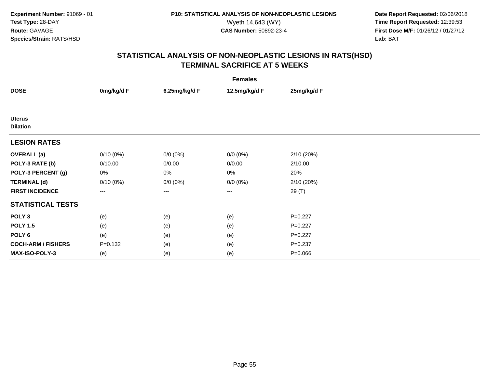**Date Report Requested:** 02/06/2018 Wyeth 14,643 (WY) **Time Report Requested:** 12:39:53<br>**CAS Number:** 50892-23-4 **Time Report Requested:** 12:39:53 **First Dose M/F:** 01/26/12 / 01/27/12<br>**Lab:** BAT **Lab:** BAT

| <b>Females</b>                   |             |               |               |             |  |
|----------------------------------|-------------|---------------|---------------|-------------|--|
| <b>DOSE</b>                      | 0mg/kg/d F  | 6.25mg/kg/d F | 12.5mg/kg/d F | 25mg/kg/d F |  |
|                                  |             |               |               |             |  |
| <b>Uterus</b><br><b>Dilation</b> |             |               |               |             |  |
| <b>LESION RATES</b>              |             |               |               |             |  |
| <b>OVERALL</b> (a)               | $0/10(0\%)$ | $0/0 (0\%)$   | $0/0 (0\%)$   | 2/10 (20%)  |  |
| POLY-3 RATE (b)                  | 0/10.00     | 0/0.00        | 0/0.00        | 2/10.00     |  |
| POLY-3 PERCENT (g)               | 0%          | 0%            | 0%            | 20%         |  |
| <b>TERMINAL (d)</b>              | 0/10(0%)    | $0/0 (0\%)$   | $0/0 (0\%)$   | 2/10 (20%)  |  |
| <b>FIRST INCIDENCE</b>           | $---$       | $---$         | $---$         | 29 (T)      |  |
| <b>STATISTICAL TESTS</b>         |             |               |               |             |  |
| POLY <sub>3</sub>                | (e)         | (e)           | (e)           | $P=0.227$   |  |
| <b>POLY 1.5</b>                  | (e)         | (e)           | (e)           | $P=0.227$   |  |
| POLY 6                           | (e)         | (e)           | (e)           | $P=0.227$   |  |
| <b>COCH-ARM / FISHERS</b>        | $P = 0.132$ | (e)           | (e)           | $P = 0.237$ |  |
| <b>MAX-ISO-POLY-3</b>            | (e)         | (e)           | (e)           | $P = 0.066$ |  |